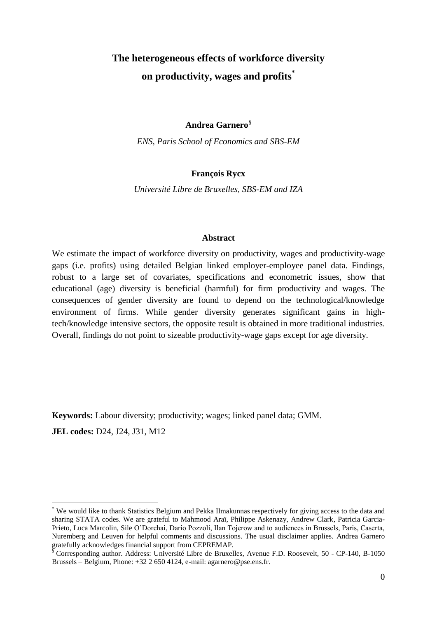# **The heterogeneous effects of workforce diversity on productivity, wages and profits\***

**Andrea Garnero**§

*ENS, Paris School of Economics and SBS-EM*

# **François Rycx**

*Université Libre de Bruxelles, SBS-EM and IZA*

## **Abstract**

We estimate the impact of workforce diversity on productivity, wages and productivity-wage gaps (i.e. profits) using detailed Belgian linked employer-employee panel data. Findings, robust to a large set of covariates, specifications and econometric issues, show that educational (age) diversity is beneficial (harmful) for firm productivity and wages. The consequences of gender diversity are found to depend on the technological/knowledge environment of firms. While gender diversity generates significant gains in hightech/knowledge intensive sectors, the opposite result is obtained in more traditional industries. Overall, findings do not point to sizeable productivity-wage gaps except for age diversity.

**Keywords:** Labour diversity; productivity; wages; linked panel data; GMM. **JEL codes:** D24, J24, J31, M12

1

<sup>\*</sup> We would like to thank Statistics Belgium and Pekka Ilmakunnas respectively for giving access to the data and sharing STATA codes. We are grateful to Mahmood Araï, Philippe Askenazy, Andrew Clark, Patricia Garcia-Prieto, Luca Marcolin, Sile O'Dorchai, Dario Pozzoli, Ilan Tojerow and to audiences in Brussels, Paris, Caserta, Nuremberg and Leuven for helpful comments and discussions. The usual disclaimer applies. Andrea Garnero gratefully acknowledges financial support from CEPREMAP.

<sup>§</sup> Corresponding author. Address: Université Libre de Bruxelles, Avenue F.D. Roosevelt, 50 - CP-140, B-1050 Brussels – Belgium, Phone:  $+32$  2 650 4124, e-mail: agarnero@pse.ens.fr.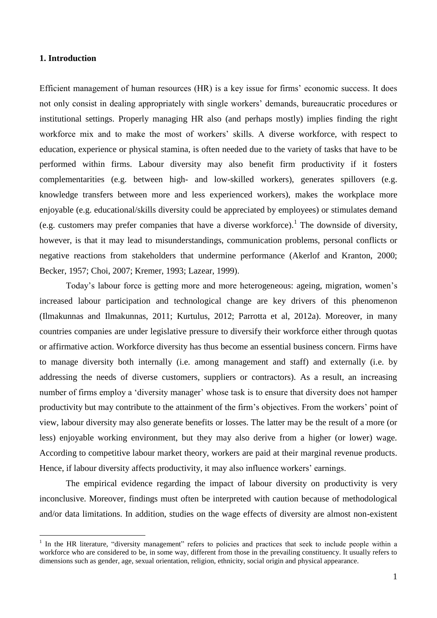## **1. Introduction**

 $\overline{a}$ 

Efficient management of human resources (HR) is a key issue for firms' economic success. It does not only consist in dealing appropriately with single workers' demands, bureaucratic procedures or institutional settings. Properly managing HR also (and perhaps mostly) implies finding the right workforce mix and to make the most of workers' skills. A diverse workforce, with respect to education, experience or physical stamina, is often needed due to the variety of tasks that have to be performed within firms. Labour diversity may also benefit firm productivity if it fosters complementarities (e.g. between high- and low-skilled workers), generates spillovers (e.g. knowledge transfers between more and less experienced workers), makes the workplace more enjoyable (e.g. educational/skills diversity could be appreciated by employees) or stimulates demand (e.g. customers may prefer companies that have a diverse workforce).<sup>1</sup> The downside of diversity, however, is that it may lead to misunderstandings, communication problems, personal conflicts or negative reactions from stakeholders that undermine performance (Akerlof and Kranton, 2000; Becker, 1957; Choi, 2007; Kremer, 1993; Lazear, 1999).

Today's labour force is getting more and more heterogeneous: ageing, migration, women's increased labour participation and technological change are key drivers of this phenomenon (Ilmakunnas and Ilmakunnas, 2011; Kurtulus, 2012; Parrotta et al, 2012a). Moreover, in many countries companies are under legislative pressure to diversify their workforce either through quotas or affirmative action. Workforce diversity has thus become an essential business concern. Firms have to manage diversity both internally (i.e. among management and staff) and externally (i.e. by addressing the needs of diverse customers, suppliers or contractors). As a result, an increasing number of firms employ a 'diversity manager' whose task is to ensure that diversity does not hamper productivity but may contribute to the attainment of the firm's objectives. From the workers' point of view, labour diversity may also generate benefits or losses. The latter may be the result of a more (or less) enjoyable working environment, but they may also derive from a higher (or lower) wage. According to competitive labour market theory, workers are paid at their marginal revenue products. Hence, if labour diversity affects productivity, it may also influence workers' earnings.

The empirical evidence regarding the impact of labour diversity on productivity is very inconclusive. Moreover, findings must often be interpreted with caution because of methodological and/or data limitations. In addition, studies on the wage effects of diversity are almost non-existent

<sup>&</sup>lt;sup>1</sup> In the HR literature, "diversity management" refers to policies and practices that seek to include people within a workforce who are considered to be, in some way, different from those in the prevailing constituency. It usually refers to dimensions such as gender, age, sexual orientation, religion, ethnicity, social origin and physical appearance.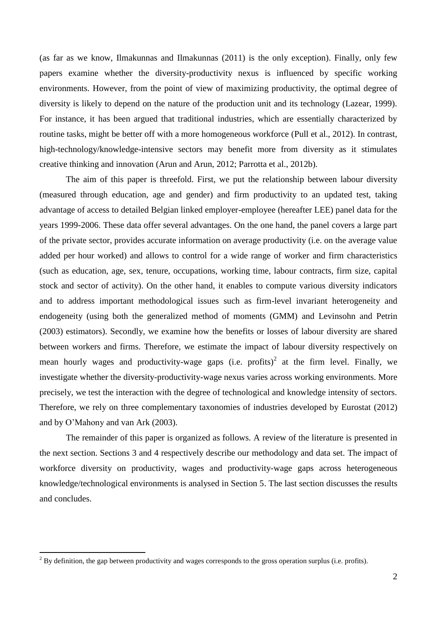(as far as we know, Ilmakunnas and Ilmakunnas (2011) is the only exception). Finally, only few papers examine whether the diversity-productivity nexus is influenced by specific working environments. However, from the point of view of maximizing productivity, the optimal degree of diversity is likely to depend on the nature of the production unit and its technology (Lazear, 1999). For instance, it has been argued that traditional industries, which are essentially characterized by routine tasks, might be better off with a more homogeneous workforce (Pull et al., 2012). In contrast, high-technology/knowledge-intensive sectors may benefit more from diversity as it stimulates creative thinking and innovation (Arun and Arun, 2012; Parrotta et al., 2012b).

The aim of this paper is threefold. First, we put the relationship between labour diversity (measured through education, age and gender) and firm productivity to an updated test, taking advantage of access to detailed Belgian linked employer-employee (hereafter LEE) panel data for the years 1999-2006. These data offer several advantages. On the one hand, the panel covers a large part of the private sector, provides accurate information on average productivity (i.e. on the average value added per hour worked) and allows to control for a wide range of worker and firm characteristics (such as education, age, sex, tenure, occupations, working time, labour contracts, firm size, capital stock and sector of activity). On the other hand, it enables to compute various diversity indicators and to address important methodological issues such as firm-level invariant heterogeneity and endogeneity (using both the generalized method of moments (GMM) and Levinsohn and Petrin (2003) estimators). Secondly, we examine how the benefits or losses of labour diversity are shared between workers and firms. Therefore, we estimate the impact of labour diversity respectively on mean hourly wages and productivity-wage gaps (i.e. profits)<sup>2</sup> at the firm level. Finally, we investigate whether the diversity-productivity-wage nexus varies across working environments. More precisely, we test the interaction with the degree of technological and knowledge intensity of sectors. Therefore, we rely on three complementary taxonomies of industries developed by Eurostat (2012) and by O'Mahony and van Ark (2003).

The remainder of this paper is organized as follows. A review of the literature is presented in the next section. Sections 3 and 4 respectively describe our methodology and data set. The impact of workforce diversity on productivity, wages and productivity-wage gaps across heterogeneous knowledge/technological environments is analysed in Section 5. The last section discusses the results and concludes.

 $2^{2}$  By definition, the gap between productivity and wages corresponds to the gross operation surplus (i.e. profits).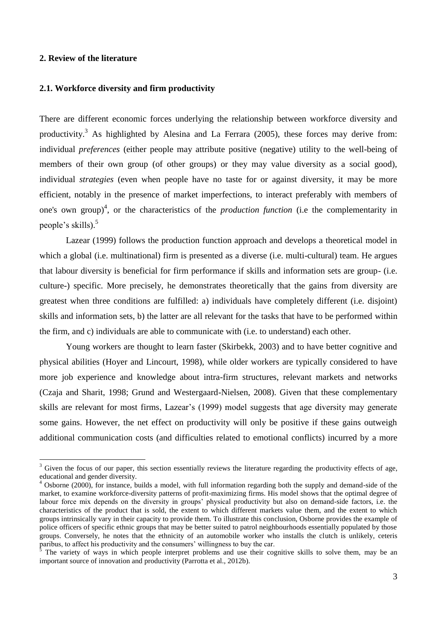## **2. Review of the literature**

 $\overline{a}$ 

#### **2.1. Workforce diversity and firm productivity**

There are different economic forces underlying the relationship between workforce diversity and productivity.<sup>3</sup> As highlighted by Alesina and La Ferrara (2005), these forces may derive from: individual *preferences* (either people may attribute positive (negative) utility to the well-being of members of their own group (of other groups) or they may value diversity as a social good), individual *strategies* (even when people have no taste for or against diversity, it may be more efficient, notably in the presence of market imperfections, to interact preferably with members of one's own group)<sup>4</sup>, or the characteristics of the *production function* (i.e the complementarity in people's skills). 5

Lazear (1999) follows the production function approach and develops a theoretical model in which a global (i.e. multinational) firm is presented as a diverse (i.e. multi-cultural) team. He argues that labour diversity is beneficial for firm performance if skills and information sets are group- (i.e. culture-) specific. More precisely, he demonstrates theoretically that the gains from diversity are greatest when three conditions are fulfilled: a) individuals have completely different (i.e. disjoint) skills and information sets, b) the latter are all relevant for the tasks that have to be performed within the firm, and c) individuals are able to communicate with (i.e. to understand) each other.

Young workers are thought to learn faster (Skirbekk, 2003) and to have better cognitive and physical abilities (Hoyer and Lincourt, 1998), while older workers are typically considered to have more job experience and knowledge about intra-firm structures, relevant markets and networks (Czaja and Sharit, 1998; Grund and Westergaard-Nielsen, 2008). Given that these complementary skills are relevant for most firms, Lazear's (1999) model suggests that age diversity may generate some gains. However, the net effect on productivity will only be positive if these gains outweigh additional communication costs (and difficulties related to emotional conflicts) incurred by a more

 $3$  Given the focus of our paper, this section essentially reviews the literature regarding the productivity effects of age, educational and gender diversity.

<sup>4</sup> Osborne (2000), for instance, builds a model, with full information regarding both the supply and demand-side of the market, to examine workforce-diversity patterns of profit-maximizing firms. His model shows that the optimal degree of labour force mix depends on the diversity in groups' physical productivity but also on demand-side factors, i.e. the characteristics of the product that is sold, the extent to which different markets value them, and the extent to which groups intrinsically vary in their capacity to provide them. To illustrate this conclusion, Osborne provides the example of police officers of specific ethnic groups that may be better suited to patrol neighbourhoods essentially populated by those groups. Conversely, he notes that the ethnicity of an automobile worker who installs the clutch is unlikely, ceteris paribus, to affect his productivity and the consumers' willingness to buy the car.

<sup>5</sup> The variety of ways in which people interpret problems and use their cognitive skills to solve them, may be an important source of innovation and productivity (Parrotta et al., 2012b).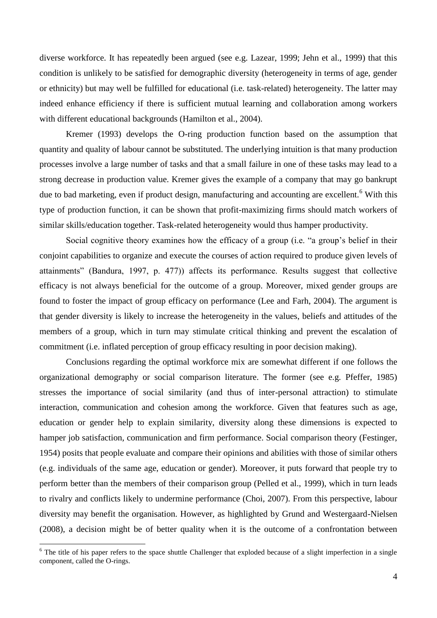diverse workforce. It has repeatedly been argued (see e.g. Lazear, 1999; Jehn et al., 1999) that this condition is unlikely to be satisfied for demographic diversity (heterogeneity in terms of age, gender or ethnicity) but may well be fulfilled for educational (i.e. task-related) heterogeneity. The latter may indeed enhance efficiency if there is sufficient mutual learning and collaboration among workers with different educational backgrounds (Hamilton et al., 2004).

Kremer (1993) develops the O-ring production function based on the assumption that quantity and quality of labour cannot be substituted. The underlying intuition is that many production processes involve a large number of tasks and that a small failure in one of these tasks may lead to a strong decrease in production value. Kremer gives the example of a company that may go bankrupt due to bad marketing, even if product design, manufacturing and accounting are excellent.<sup>6</sup> With this type of production function, it can be shown that profit-maximizing firms should match workers of similar skills/education together. Task-related heterogeneity would thus hamper productivity.

Social cognitive theory examines how the efficacy of a group (i.e. "a group's belief in their conjoint capabilities to organize and execute the courses of action required to produce given levels of attainments" (Bandura, 1997, p. 477)) affects its performance. Results suggest that collective efficacy is not always beneficial for the outcome of a group. Moreover, mixed gender groups are found to foster the impact of group efficacy on performance (Lee and Farh, 2004). The argument is that gender diversity is likely to increase the heterogeneity in the values, beliefs and attitudes of the members of a group, which in turn may stimulate critical thinking and prevent the escalation of commitment (i.e. inflated perception of group efficacy resulting in poor decision making).

Conclusions regarding the optimal workforce mix are somewhat different if one follows the organizational demography or social comparison literature. The former (see e.g. Pfeffer, 1985) stresses the importance of social similarity (and thus of inter-personal attraction) to stimulate interaction, communication and cohesion among the workforce. Given that features such as age, education or gender help to explain similarity, diversity along these dimensions is expected to hamper job satisfaction, communication and firm performance. Social comparison theory (Festinger, 1954) posits that people evaluate and compare their opinions and abilities with those of similar others (e.g. individuals of the same age, education or gender). Moreover, it puts forward that people try to perform better than the members of their comparison group (Pelled et al., 1999), which in turn leads to rivalry and conflicts likely to undermine performance (Choi, 2007). From this perspective, labour diversity may benefit the organisation. However, as highlighted by Grund and Westergaard-Nielsen (2008), a decision might be of better quality when it is the outcome of a confrontation between

 $6$  The title of his paper refers to the space shuttle Challenger that exploded because of a slight imperfection in a single component, called the O-rings.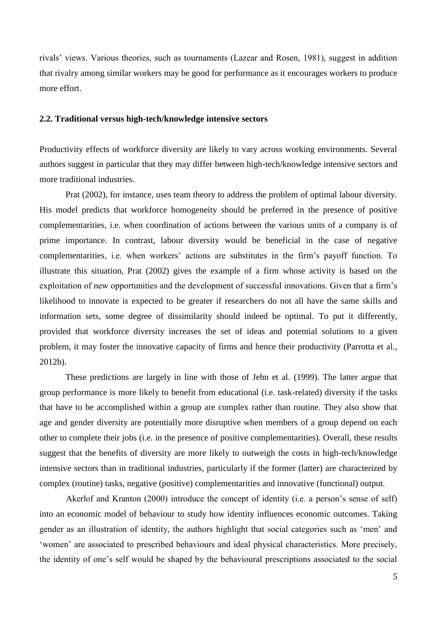rivals' views. Various theories, such as tournaments (Lazear and Rosen, 1981), suggest in addition that rivalry among similar workers may be good for performance as it encourages workers to produce more effort.

# **2.2. Traditional versus high-tech/knowledge intensive sectors**

Productivity effects of workforce diversity are likely to vary across working environments. Several authors suggest in particular that they may differ between high-tech/knowledge intensive sectors and more traditional industries.

Prat (2002), for instance, uses team theory to address the problem of optimal labour diversity. His model predicts that workforce homogeneity should be preferred in the presence of positive complementarities, i.e. when coordination of actions between the various units of a company is of prime importance. In contrast, labour diversity would be beneficial in the case of negative complementarities, i.e. when workers' actions are substitutes in the firm's payoff function. To illustrate this situation, Prat (2002) gives the example of a firm whose activity is based on the exploitation of new opportunities and the development of successful innovations. Given that a firm's likelihood to innovate is expected to be greater if researchers do not all have the same skills and information sets, some degree of dissimilarity should indeed be optimal. To put it differently, provided that workforce diversity increases the set of ideas and potential solutions to a given problem, it may foster the innovative capacity of firms and hence their productivity (Parrotta et al., 2012b).

These predictions are largely in line with those of Jehn et al. (1999). The latter argue that group performance is more likely to benefit from educational (i.e. task-related) diversity if the tasks that have to be accomplished within a group are complex rather than routine. They also show that age and gender diversity are potentially more disruptive when members of a group depend on each other to complete their jobs (i.e. in the presence of positive complementarities). Overall, these results suggest that the benefits of diversity are more likely to outweigh the costs in high-tech/knowledge intensive sectors than in traditional industries, particularly if the former (latter) are characterized by complex (routine) tasks, negative (positive) complementarities and innovative (functional) output.

Akerlof and Kranton (2000) introduce the concept of identity (i.e. a person's sense of self) into an economic model of behaviour to study how identity influences economic outcomes. Taking gender as an illustration of identity, the authors highlight that social categories such as 'men' and 'women' are associated to prescribed behaviours and ideal physical characteristics. More precisely, the identity of one's self would be shaped by the behavioural prescriptions associated to the social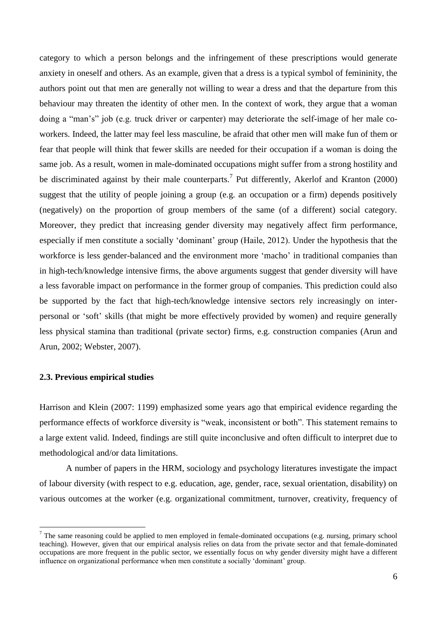category to which a person belongs and the infringement of these prescriptions would generate anxiety in oneself and others. As an example, given that a dress is a typical symbol of femininity, the authors point out that men are generally not willing to wear a dress and that the departure from this behaviour may threaten the identity of other men. In the context of work, they argue that a woman doing a "man's" job (e.g. truck driver or carpenter) may deteriorate the self-image of her male coworkers. Indeed, the latter may feel less masculine, be afraid that other men will make fun of them or fear that people will think that fewer skills are needed for their occupation if a woman is doing the same job. As a result, women in male-dominated occupations might suffer from a strong hostility and be discriminated against by their male counterparts.<sup>7</sup> Put differently, Akerlof and Kranton (2000) suggest that the utility of people joining a group (e.g. an occupation or a firm) depends positively (negatively) on the proportion of group members of the same (of a different) social category. Moreover, they predict that increasing gender diversity may negatively affect firm performance, especially if men constitute a socially 'dominant' group (Haile, 2012). Under the hypothesis that the workforce is less gender-balanced and the environment more 'macho' in traditional companies than in high-tech/knowledge intensive firms, the above arguments suggest that gender diversity will have a less favorable impact on performance in the former group of companies. This prediction could also be supported by the fact that high-tech/knowledge intensive sectors rely increasingly on interpersonal or 'soft' skills (that might be more effectively provided by women) and require generally less physical stamina than traditional (private sector) firms, e.g. construction companies (Arun and Arun, 2002; Webster, 2007).

## **2.3. Previous empirical studies**

 $\overline{a}$ 

Harrison and Klein (2007: 1199) emphasized some years ago that empirical evidence regarding the performance effects of workforce diversity is "weak, inconsistent or both". This statement remains to a large extent valid. Indeed, findings are still quite inconclusive and often difficult to interpret due to methodological and/or data limitations.

A number of papers in the HRM, sociology and psychology literatures investigate the impact of labour diversity (with respect to e.g. education, age, gender, race, sexual orientation, disability) on various outcomes at the worker (e.g. organizational commitment, turnover, creativity, frequency of

 $<sup>7</sup>$  The same reasoning could be applied to men employed in female-dominated occupations (e.g. nursing, primary school</sup> teaching). However, given that our empirical analysis relies on data from the private sector and that female-dominated occupations are more frequent in the public sector, we essentially focus on why gender diversity might have a different influence on organizational performance when men constitute a socially 'dominant' group.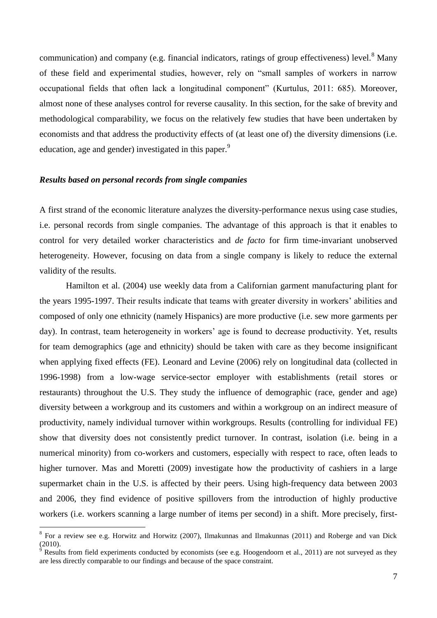communication) and company (e.g. financial indicators, ratings of group effectiveness) level.<sup>8</sup> Many of these field and experimental studies, however, rely on "small samples of workers in narrow occupational fields that often lack a longitudinal component" (Kurtulus, 2011: 685). Moreover, almost none of these analyses control for reverse causality. In this section, for the sake of brevity and methodological comparability, we focus on the relatively few studies that have been undertaken by economists and that address the productivity effects of (at least one of) the diversity dimensions (i.e. education, age and gender) investigated in this paper.<sup>9</sup>

#### *Results based on personal records from single companies*

 $\overline{a}$ 

A first strand of the economic literature analyzes the diversity-performance nexus using case studies, i.e. personal records from single companies. The advantage of this approach is that it enables to control for very detailed worker characteristics and *de facto* for firm time-invariant unobserved heterogeneity. However, focusing on data from a single company is likely to reduce the external validity of the results.

Hamilton et al. (2004) use weekly data from a Californian garment manufacturing plant for the years 1995-1997. Their results indicate that teams with greater diversity in workers' abilities and composed of only one ethnicity (namely Hispanics) are more productive (i.e. sew more garments per day). In contrast, team heterogeneity in workers' age is found to decrease productivity. Yet, results for team demographics (age and ethnicity) should be taken with care as they become insignificant when applying fixed effects (FE). Leonard and Levine (2006) rely on longitudinal data (collected in 1996-1998) from a low-wage service-sector employer with establishments (retail stores or restaurants) throughout the U.S. They study the influence of demographic (race, gender and age) diversity between a workgroup and its customers and within a workgroup on an indirect measure of productivity, namely individual turnover within workgroups. Results (controlling for individual FE) show that diversity does not consistently predict turnover. In contrast, isolation (i.e. being in a numerical minority) from co-workers and customers, especially with respect to race, often leads to higher turnover. Mas and Moretti (2009) investigate how the productivity of cashiers in a large supermarket chain in the U.S. is affected by their peers. Using high-frequency data between 2003 and 2006, they find evidence of positive spillovers from the introduction of highly productive workers (i.e. workers scanning a large number of items per second) in a shift. More precisely, first-

<sup>&</sup>lt;sup>8</sup> For a review see e.g. Horwitz and Horwitz (2007), Ilmakunnas and Ilmakunnas (2011) and Roberge and van Dick (2010).

Results from field experiments conducted by economists (see e.g. Hoogendoorn et al., 2011) are not surveyed as they are less directly comparable to our findings and because of the space constraint.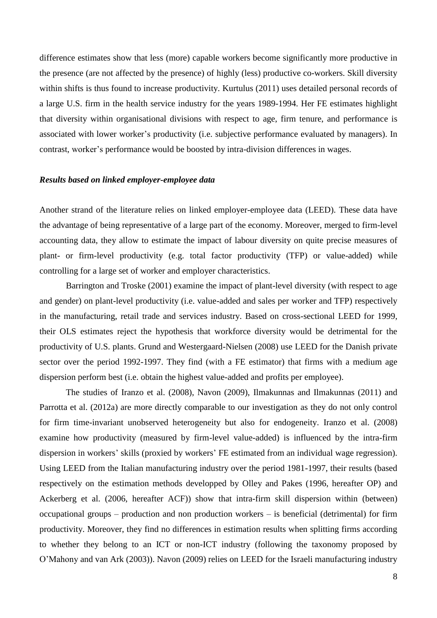difference estimates show that less (more) capable workers become significantly more productive in the presence (are not affected by the presence) of highly (less) productive co-workers. Skill diversity within shifts is thus found to increase productivity. Kurtulus (2011) uses detailed personal records of a large U.S. firm in the health service industry for the years 1989-1994. Her FE estimates highlight that diversity within organisational divisions with respect to age, firm tenure, and performance is associated with lower worker's productivity (i.e. subjective performance evaluated by managers). In contrast, worker's performance would be boosted by intra-division differences in wages.

#### *Results based on linked employer-employee data*

Another strand of the literature relies on linked employer-employee data (LEED). These data have the advantage of being representative of a large part of the economy. Moreover, merged to firm-level accounting data, they allow to estimate the impact of labour diversity on quite precise measures of plant- or firm-level productivity (e.g. total factor productivity (TFP) or value-added) while controlling for a large set of worker and employer characteristics.

Barrington and Troske (2001) examine the impact of plant-level diversity (with respect to age and gender) on plant-level productivity (i.e. value-added and sales per worker and TFP) respectively in the manufacturing, retail trade and services industry. Based on cross-sectional LEED for 1999, their OLS estimates reject the hypothesis that workforce diversity would be detrimental for the productivity of U.S. plants. Grund and Westergaard-Nielsen (2008) use LEED for the Danish private sector over the period 1992-1997. They find (with a FE estimator) that firms with a medium age dispersion perform best (i.e. obtain the highest value-added and profits per employee).

The studies of Iranzo et al. (2008), Navon (2009), Ilmakunnas and Ilmakunnas (2011) and Parrotta et al. (2012a) are more directly comparable to our investigation as they do not only control for firm time-invariant unobserved heterogeneity but also for endogeneity. Iranzo et al. (2008) examine how productivity (measured by firm-level value-added) is influenced by the intra-firm dispersion in workers' skills (proxied by workers' FE estimated from an individual wage regression). Using LEED from the Italian manufacturing industry over the period 1981-1997, their results (based respectively on the estimation methods developped by Olley and Pakes (1996, hereafter OP) and Ackerberg et al. (2006, hereafter ACF)) show that intra-firm skill dispersion within (between) occupational groups – production and non production workers – is beneficial (detrimental) for firm productivity. Moreover, they find no differences in estimation results when splitting firms according to whether they belong to an ICT or non-ICT industry (following the taxonomy proposed by O'Mahony and van Ark (2003)). Navon (2009) relies on LEED for the Israeli manufacturing industry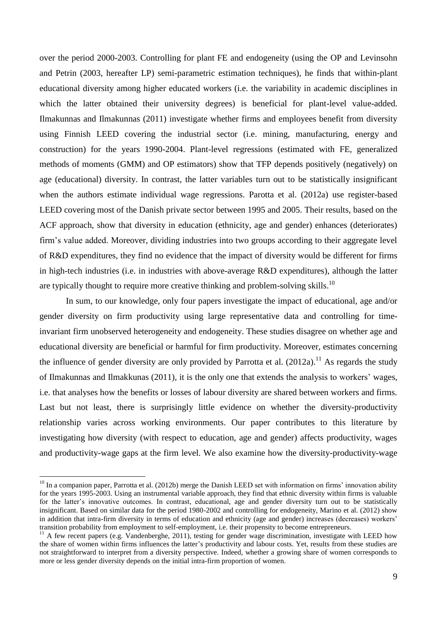over the period 2000-2003. Controlling for plant FE and endogeneity (using the OP and Levinsohn and Petrin (2003, hereafter LP) semi-parametric estimation techniques), he finds that within-plant educational diversity among higher educated workers (i.e. the variability in academic disciplines in which the latter obtained their university degrees) is beneficial for plant-level value-added. Ilmakunnas and Ilmakunnas (2011) investigate whether firms and employees benefit from diversity using Finnish LEED covering the industrial sector (i.e. mining, manufacturing, energy and construction) for the years 1990-2004. Plant-level regressions (estimated with FE, generalized methods of moments (GMM) and OP estimators) show that TFP depends positively (negatively) on age (educational) diversity. In contrast, the latter variables turn out to be statistically insignificant when the authors estimate individual wage regressions. Parotta et al. (2012a) use register-based LEED covering most of the Danish private sector between 1995 and 2005. Their results, based on the ACF approach, show that diversity in education (ethnicity, age and gender) enhances (deteriorates) firm's value added. Moreover, dividing industries into two groups according to their aggregate level of R&D expenditures, they find no evidence that the impact of diversity would be different for firms in high-tech industries (i.e. in industries with above-average R&D expenditures), although the latter are typically thought to require more creative thinking and problem-solving skills.<sup>10</sup>

In sum, to our knowledge, only four papers investigate the impact of educational, age and/or gender diversity on firm productivity using large representative data and controlling for timeinvariant firm unobserved heterogeneity and endogeneity. These studies disagree on whether age and educational diversity are beneficial or harmful for firm productivity. Moreover, estimates concerning the influence of gender diversity are only provided by Parrotta et al.  $(2012a)$ .<sup>11</sup> As regards the study of Ilmakunnas and Ilmakkunas (2011), it is the only one that extends the analysis to workers' wages, i.e. that analyses how the benefits or losses of labour diversity are shared between workers and firms. Last but not least, there is surprisingly little evidence on whether the diversity-productivity relationship varies across working environments. Our paper contributes to this literature by investigating how diversity (with respect to education, age and gender) affects productivity, wages and productivity-wage gaps at the firm level. We also examine how the diversity-productivity-wage

 $10$  In a companion paper, Parrotta et al. (2012b) merge the Danish LEED set with information on firms' innovation ability for the years 1995-2003. Using an instrumental variable approach, they find that ethnic diversity within firms is valuable for the latter's innovative outcomes. In contrast, educational, age and gender diversity turn out to be statistically insignificant. Based on similar data for the period 1980-2002 and controlling for endogeneity, Marino et al. (2012) show in addition that intra-firm diversity in terms of education and ethnicity (age and gender) increases (decreases) workers' transition probability from employment to self-employment, i.e. their propensity to become entrepreneurs.

 $11$  A few recent papers (e.g. Vandenberghe, 2011), testing for gender wage discrimination, investigate with LEED how the share of women within firms influences the latter's productivity and labour costs. Yet, results from these studies are not straightforward to interpret from a diversity perspective. Indeed, whether a growing share of women corresponds to more or less gender diversity depends on the initial intra-firm proportion of women.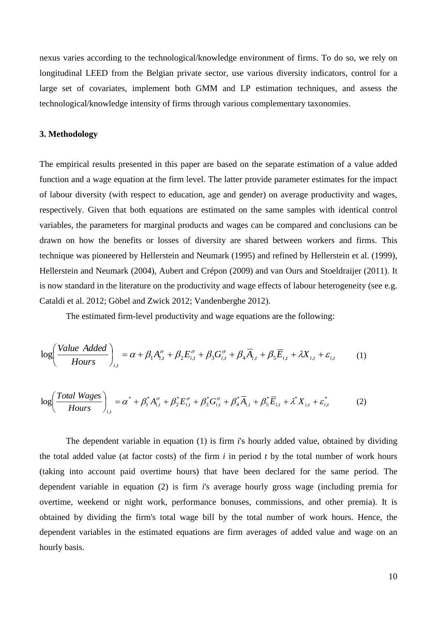nexus varies according to the technological/knowledge environment of firms. To do so, we rely on longitudinal LEED from the Belgian private sector, use various diversity indicators, control for a large set of covariates, implement both GMM and LP estimation techniques, and assess the technological/knowledge intensity of firms through various complementary taxonomies.

## **3. Methodology**

The empirical results presented in this paper are based on the separate estimation of a value added function and a wage equation at the firm level. The latter provide parameter estimates for the impact of labour diversity (with respect to education, age and gender) on average productivity and wages, respectively. Given that both equations are estimated on the same samples with identical control variables, the parameters for marginal products and wages can be compared and conclusions can be drawn on how the benefits or losses of diversity are shared between workers and firms. This technique was pioneered by Hellerstein and Neumark (1995) and refined by Hellerstein et al. (1999), Hellerstein and Neumark (2004), Aubert and Crépon (2009) and van Ours and Stoeldraijer (2011). It is now standard in the literature on the productivity and wage effects of labour heterogeneity (see e.g. Cataldi et al. 2012; Göbel and Zwick 2012; Vandenberghe 2012).

The estimated firm-level productivity and wage equations are the following:

$$
\log \left( \frac{\text{Value Added}}{\text{hours}} \right)_{i,t} = \alpha + \beta_1 A_{i,t}^{\sigma} + \beta_2 E_{i,t}^{\sigma} + \beta_3 G_{i,t}^{\sigma} + \beta_4 \overline{A}_{i,t} + \beta_5 \overline{E}_{i,t} + \lambda X_{i,t} + \varepsilon_{i,t} \tag{1}
$$

$$
\log \left( \frac{\text{Total Wages}}{\text{Hours}} \right)_{i,t} = \alpha^* + \beta_1^* A_{i,t}^{\sigma} + \beta_2^* E_{i,t}^{\sigma} + \beta_3^* G_{i,t}^{\sigma} + \beta_4^* \overline{A}_{i,t} + \beta_5^* \overline{E}_{i,t} + \lambda^* X_{i,t} + \varepsilon_{i,t}^* \tag{2}
$$

The dependent variable in equation (1) is firm *i*'s hourly added value, obtained by dividing the total added value (at factor costs) of the firm *i* in period *t* by the total number of work hours (taking into account paid overtime hours) that have been declared for the same period. The dependent variable in equation (2) is firm *i*'s average hourly gross wage (including premia for overtime, weekend or night work, performance bonuses, commissions, and other premia). It is obtained by dividing the firm's total wage bill by the total number of work hours. Hence, the dependent variables in the estimated equations are firm averages of added value and wage on an hourly basis.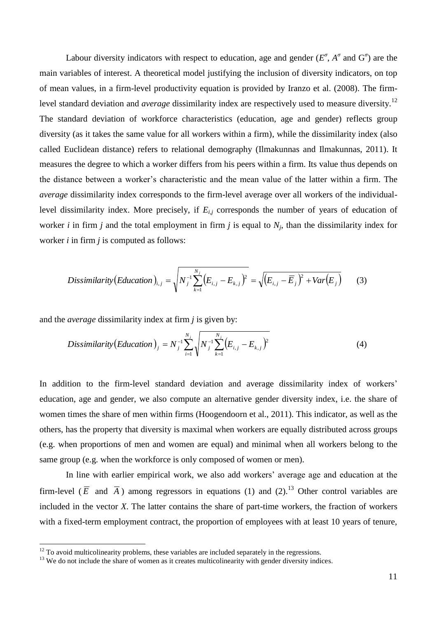Labour diversity indicators with respect to education, age and gender  $(E^{\sigma}, A^{\sigma}$  and  $G^{\sigma}$ ) are the main variables of interest. A theoretical model justifying the inclusion of diversity indicators, on top of mean values, in a firm-level productivity equation is provided by Iranzo et al. (2008). The firmlevel standard deviation and *average* dissimilarity index are respectively used to measure diversity.<sup>12</sup> The standard deviation of workforce characteristics (education, age and gender) reflects group diversity (as it takes the same value for all workers within a firm), while the dissimilarity index (also called Euclidean distance) refers to relational demography (Ilmakunnas and Ilmakunnas, 2011). It measures the degree to which a worker differs from his peers within a firm. Its value thus depends on the distance between a worker's characteristic and the mean value of the latter within a firm. The *average* dissimilarity index corresponds to the firm-level average over all workers of the individuallevel dissimilarity index. More precisely, if *Ei,j* corresponds the number of years of education of worker *i* in firm *j* and the total employment in firm *j* is equal to  $N_j$ , than the dissimilarity index for worker *i* in firm *j* is computed as follows:

Dissimilarity (Education)<sub>i,j</sub> = 
$$
\sqrt{N_j^{-1} \sum_{k=1}^{N_j} (E_{i,j} - E_{k,j})^2} = \sqrt{(E_{i,j} - \overline{E}_j)^2 + Var(E_j)}
$$
 (3)

and the *average* dissimilarity index at firm *j* is given by:

*Dissimilarity* (*Education*)<sub>j</sub> = 
$$
N_j^{-1} \sum_{i=1}^{N_j} \sqrt{N_j^{-1} \sum_{k=1}^{N_j} (E_{i,j} - E_{k,j})^2}
$$
 (4)

In addition to the firm-level standard deviation and average dissimilarity index of workers' education, age and gender, we also compute an alternative gender diversity index, i.e. the share of women times the share of men within firms (Hoogendoorn et al., 2011). This indicator, as well as the others, has the property that diversity is maximal when workers are equally distributed across groups (e.g. when proportions of men and women are equal) and minimal when all workers belong to the same group (e.g. when the workforce is only composed of women or men).

In line with earlier empirical work, we also add workers' average age and education at the firm-level ( $\overline{E}$  and  $\overline{A}$ ) among regressors in equations (1) and (2).<sup>13</sup> Other control variables are included in the vector *X*. The latter contains the share of part-time workers, the fraction of workers with a fixed-term employment contract, the proportion of employees with at least 10 years of tenure,

 $12$  To avoid multicolinearity problems, these variables are included separately in the regressions.

<sup>&</sup>lt;sup>13</sup> We do not include the share of women as it creates multicolinearity with gender diversity indices.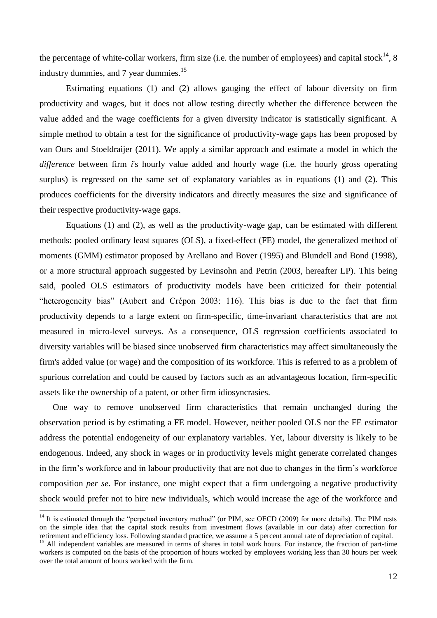the percentage of white-collar workers, firm size (i.e. the number of employees) and capital stock<sup>14</sup>, 8 industry dummies, and 7 year dummies.<sup>15</sup>

Estimating equations (1) and (2) allows gauging the effect of labour diversity on firm productivity and wages, but it does not allow testing directly whether the difference between the value added and the wage coefficients for a given diversity indicator is statistically significant. A simple method to obtain a test for the significance of productivity-wage gaps has been proposed by van Ours and Stoeldraijer (2011). We apply a similar approach and estimate a model in which the *difference* between firm *i*'s hourly value added and hourly wage (i.e. the hourly gross operating surplus) is regressed on the same set of explanatory variables as in equations (1) and (2). This produces coefficients for the diversity indicators and directly measures the size and significance of their respective productivity-wage gaps.

Equations (1) and (2), as well as the productivity-wage gap, can be estimated with different methods: pooled ordinary least squares (OLS), a fixed-effect (FE) model, the generalized method of moments (GMM) estimator proposed by Arellano and Bover (1995) and Blundell and Bond (1998), or a more structural approach suggested by Levinsohn and Petrin (2003, hereafter LP). This being said, pooled OLS estimators of productivity models have been criticized for their potential "heterogeneity bias" (Aubert and Crépon 2003: 116). This bias is due to the fact that firm productivity depends to a large extent on firm-specific, time-invariant characteristics that are not measured in micro-level surveys. As a consequence, OLS regression coefficients associated to diversity variables will be biased since unobserved firm characteristics may affect simultaneously the firm's added value (or wage) and the composition of its workforce. This is referred to as a problem of spurious correlation and could be caused by factors such as an advantageous location, firm-specific assets like the ownership of a patent, or other firm idiosyncrasies.

One way to remove unobserved firm characteristics that remain unchanged during the observation period is by estimating a FE model. However, neither pooled OLS nor the FE estimator address the potential endogeneity of our explanatory variables. Yet, labour diversity is likely to be endogenous. Indeed, any shock in wages or in productivity levels might generate correlated changes in the firm's workforce and in labour productivity that are not due to changes in the firm's workforce composition *per se*. For instance, one might expect that a firm undergoing a negative productivity shock would prefer not to hire new individuals, which would increase the age of the workforce and

 $14$  It is estimated through the "perpetual inventory method" (or PIM, see OECD (2009) for more details). The PIM rests on the simple idea that the capital stock results from investment flows (available in our data) after correction for retirement and efficiency loss. Following standard practice, we assume a 5 percent annual rate of depreciation of capital.

<sup>&</sup>lt;sup>15</sup> All independent variables are measured in terms of shares in total work hours. For instance, the fraction of part-time workers is computed on the basis of the proportion of hours worked by employees working less than 30 hours per week over the total amount of hours worked with the firm.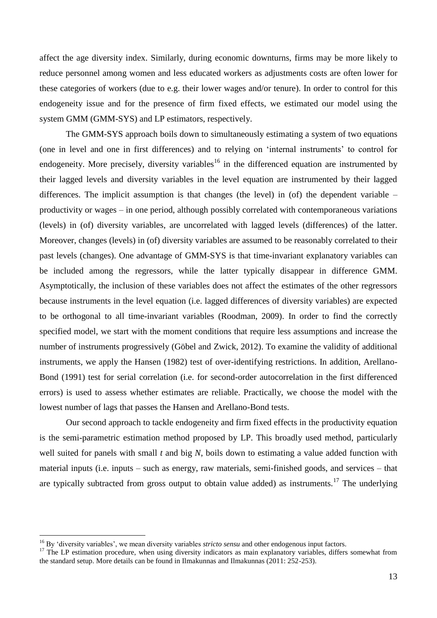affect the age diversity index. Similarly, during economic downturns, firms may be more likely to reduce personnel among women and less educated workers as adjustments costs are often lower for these categories of workers (due to e.g. their lower wages and/or tenure). In order to control for this endogeneity issue and for the presence of firm fixed effects, we estimated our model using the system GMM (GMM-SYS) and LP estimators, respectively.

The GMM-SYS approach boils down to simultaneously estimating a system of two equations (one in level and one in first differences) and to relying on 'internal instruments' to control for endogeneity. More precisely, diversity variables<sup>16</sup> in the differenced equation are instrumented by their lagged levels and diversity variables in the level equation are instrumented by their lagged differences. The implicit assumption is that changes (the level) in (of) the dependent variable – productivity or wages – in one period, although possibly correlated with contemporaneous variations (levels) in (of) diversity variables, are uncorrelated with lagged levels (differences) of the latter. Moreover, changes (levels) in (of) diversity variables are assumed to be reasonably correlated to their past levels (changes). One advantage of GMM-SYS is that time-invariant explanatory variables can be included among the regressors, while the latter typically disappear in difference GMM. Asymptotically, the inclusion of these variables does not affect the estimates of the other regressors because instruments in the level equation (i.e. lagged differences of diversity variables) are expected to be orthogonal to all time-invariant variables (Roodman, 2009). In order to find the correctly specified model, we start with the moment conditions that require less assumptions and increase the number of instruments progressively (Göbel and Zwick, 2012). To examine the validity of additional instruments, we apply the Hansen (1982) test of over-identifying restrictions. In addition, Arellano-Bond (1991) test for serial correlation (i.e. for second-order autocorrelation in the first differenced errors) is used to assess whether estimates are reliable. Practically, we choose the model with the lowest number of lags that passes the Hansen and Arellano-Bond tests.

Our second approach to tackle endogeneity and firm fixed effects in the productivity equation is the semi-parametric estimation method proposed by LP. This broadly used method, particularly well suited for panels with small *t* and big *N*, boils down to estimating a value added function with material inputs (i.e. inputs – such as energy, raw materials, semi-finished goods, and services – that are typically subtracted from gross output to obtain value added) as instruments.<sup>17</sup> The underlying

<sup>16</sup> By 'diversity variables', we mean diversity variables *stricto sensu* and other endogenous input factors.

<sup>&</sup>lt;sup>17</sup> The LP estimation procedure, when using diversity indicators as main explanatory variables, differs somewhat from the standard setup. More details can be found in Ilmakunnas and Ilmakunnas (2011: 252-253).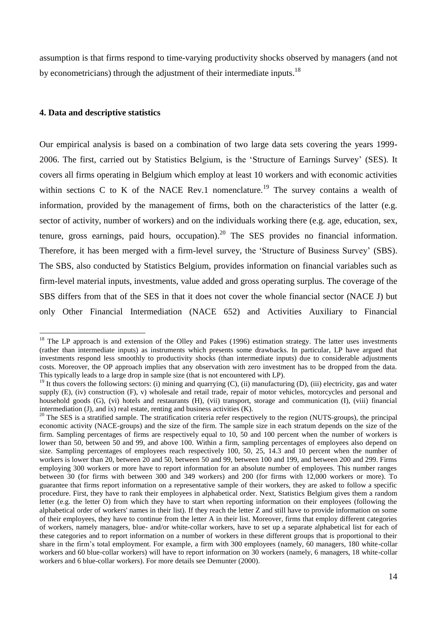assumption is that firms respond to time-varying productivity shocks observed by managers (and not by econometricians) through the adjustment of their intermediate inputs.<sup>18</sup>

#### **4. Data and descriptive statistics**

 $\overline{a}$ 

Our empirical analysis is based on a combination of two large data sets covering the years 1999- 2006. The first, carried out by Statistics Belgium, is the 'Structure of Earnings Survey' (SES). It covers all firms operating in Belgium which employ at least 10 workers and with economic activities within sections C to K of the NACE Rev.1 nomenclature.<sup>19</sup> The survey contains a wealth of information, provided by the management of firms, both on the characteristics of the latter (e.g. sector of activity, number of workers) and on the individuals working there (e.g. age, education, sex, tenure, gross earnings, paid hours, occupation).<sup>20</sup> The SES provides no financial information. Therefore, it has been merged with a firm-level survey, the 'Structure of Business Survey' (SBS). The SBS, also conducted by Statistics Belgium, provides information on financial variables such as firm-level material inputs, investments, value added and gross operating surplus. The coverage of the SBS differs from that of the SES in that it does not cover the whole financial sector (NACE J) but only Other Financial Intermediation (NACE 652) and Activities Auxiliary to Financial

 $18$  The LP approach is and extension of the Olley and Pakes (1996) estimation strategy. The latter uses investments (rather than intermediate inputs) as instruments which presents some drawbacks. In particular, LP have argued that investments respond less smoothly to productivity shocks (than intermediate inputs) due to considerable adjustments costs. Moreover, the OP approach implies that any observation with zero investment has to be dropped from the data. This typically leads to a large drop in sample size (that is not encountered with LP).

 $19$  It thus covers the following sectors: (i) mining and quarrying (C), (ii) manufacturing (D), (iii) electricity, gas and water supply (E), (iv) construction (F), v) wholesale and retail trade, repair of motor vehicles, motorcycles and personal and household goods (G), (vi) hotels and restaurants (H), (vii) transport, storage and communication (I), (viii) financial intermediation (J), and ix) real estate, renting and business activities (K).

 $20$  The SES is a stratified sample. The stratification criteria refer respectively to the region (NUTS-groups), the principal economic activity (NACE-groups) and the size of the firm. The sample size in each stratum depends on the size of the firm. Sampling percentages of firms are respectively equal to 10, 50 and 100 percent when the number of workers is lower than 50, between 50 and 99, and above 100. Within a firm, sampling percentages of employees also depend on size. Sampling percentages of employees reach respectively 100, 50, 25, 14.3 and 10 percent when the number of workers is lower than 20, between 20 and 50, between 50 and 99, between 100 and 199, and between 200 and 299. Firms employing 300 workers or more have to report information for an absolute number of employees. This number ranges between 30 (for firms with between 300 and 349 workers) and 200 (for firms with 12,000 workers or more). To guarantee that firms report information on a representative sample of their workers, they are asked to follow a specific procedure. First, they have to rank their employees in alphabetical order. Next, Statistics Belgium gives them a random letter (e.g. the letter O) from which they have to start when reporting information on their employees (following the alphabetical order of workers' names in their list). If they reach the letter Z and still have to provide information on some of their employees, they have to continue from the letter A in their list. Moreover, firms that employ different categories of workers, namely managers, blue- and/or white-collar workers, have to set up a separate alphabetical list for each of these categories and to report information on a number of workers in these different groups that is proportional to their share in the firm's total employment. For example, a firm with 300 employees (namely, 60 managers, 180 white-collar workers and 60 blue-collar workers) will have to report information on 30 workers (namely, 6 managers, 18 white-collar workers and 6 blue-collar workers). For more details see Demunter (2000).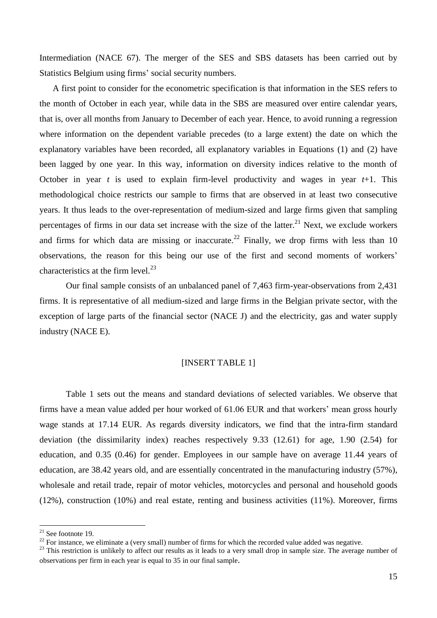Intermediation (NACE 67). The merger of the SES and SBS datasets has been carried out by Statistics Belgium using firms' social security numbers.

A first point to consider for the econometric specification is that information in the SES refers to the month of October in each year, while data in the SBS are measured over entire calendar years, that is, over all months from January to December of each year. Hence, to avoid running a regression where information on the dependent variable precedes (to a large extent) the date on which the explanatory variables have been recorded, all explanatory variables in Equations (1) and (2) have been lagged by one year. In this way, information on diversity indices relative to the month of October in year *t* is used to explain firm-level productivity and wages in year *t*+1. This methodological choice restricts our sample to firms that are observed in at least two consecutive years. It thus leads to the over-representation of medium-sized and large firms given that sampling percentages of firms in our data set increase with the size of the latter.<sup>21</sup> Next, we exclude workers and firms for which data are missing or inaccurate.<sup>22</sup> Finally, we drop firms with less than 10 observations, the reason for this being our use of the first and second moments of workers' characteristics at the firm level. $^{23}$ 

Our final sample consists of an unbalanced panel of 7,463 firm-year-observations from 2,431 firms. It is representative of all medium-sized and large firms in the Belgian private sector, with the exception of large parts of the financial sector (NACE J) and the electricity, gas and water supply industry (NACE E).

## [INSERT TABLE 1]

Table 1 sets out the means and standard deviations of selected variables. We observe that firms have a mean value added per hour worked of 61.06 EUR and that workers' mean gross hourly wage stands at 17.14 EUR. As regards diversity indicators, we find that the intra-firm standard deviation (the dissimilarity index) reaches respectively 9.33 (12.61) for age, 1.90 (2.54) for education, and 0.35 (0.46) for gender. Employees in our sample have on average 11.44 years of education, are 38.42 years old, and are essentially concentrated in the manufacturing industry (57%), wholesale and retail trade, repair of motor vehicles, motorcycles and personal and household goods (12%), construction (10%) and real estate, renting and business activities (11%). Moreover, firms

 $21$  See footnote 19.

<sup>&</sup>lt;sup>22</sup> For instance, we eliminate a (very small) number of firms for which the recorded value added was negative.

<sup>&</sup>lt;sup>23</sup> This restriction is unlikely to affect our results as it leads to a very small drop in sample size. The average number of observations per firm in each year is equal to 35 in our final sample.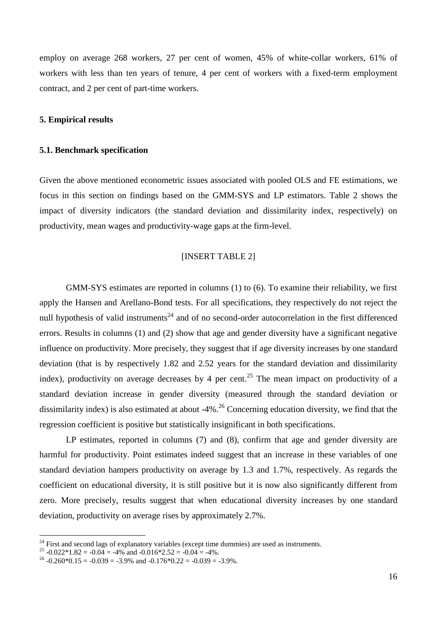employ on average 268 workers, 27 per cent of women, 45% of white-collar workers, 61% of workers with less than ten years of tenure, 4 per cent of workers with a fixed-term employment contract, and 2 per cent of part-time workers.

#### **5. Empirical results**

#### **5.1. Benchmark specification**

Given the above mentioned econometric issues associated with pooled OLS and FE estimations, we focus in this section on findings based on the GMM-SYS and LP estimators. Table 2 shows the impact of diversity indicators (the standard deviation and dissimilarity index, respectively) on productivity, mean wages and productivity-wage gaps at the firm-level.

## [INSERT TABLE 2]

GMM-SYS estimates are reported in columns (1) to (6). To examine their reliability, we first apply the Hansen and Arellano-Bond tests. For all specifications, they respectively do not reject the null hypothesis of valid instruments<sup>24</sup> and of no second-order autocorrelation in the first differenced errors. Results in columns (1) and (2) show that age and gender diversity have a significant negative influence on productivity. More precisely, they suggest that if age diversity increases by one standard deviation (that is by respectively 1.82 and 2.52 years for the standard deviation and dissimilarity index), productivity on average decreases by 4 per cent.<sup>25</sup> The mean impact on productivity of a standard deviation increase in gender diversity (measured through the standard deviation or dissimilarity index) is also estimated at about -4%.<sup>26</sup> Concerning education diversity, we find that the regression coefficient is positive but statistically insignificant in both specifications.

LP estimates, reported in columns (7) and (8), confirm that age and gender diversity are harmful for productivity. Point estimates indeed suggest that an increase in these variables of one standard deviation hampers productivity on average by 1.3 and 1.7%, respectively. As regards the coefficient on educational diversity, it is still positive but it is now also significantly different from zero. More precisely, results suggest that when educational diversity increases by one standard deviation, productivity on average rises by approximately 2.7%.

 $^{24}$  First and second lags of explanatory variables (except time dummies) are used as instruments.

<sup>&</sup>lt;sup>25</sup> -0.022\*1.82 = -0.04 = -4% and -0.016\*2.52 = -0.04 = -4%.

<sup>&</sup>lt;sup>26</sup> -0.260\*0.15 = -0.039 = -3.9% and -0.176\*0.22 = -0.039 = -3.9%.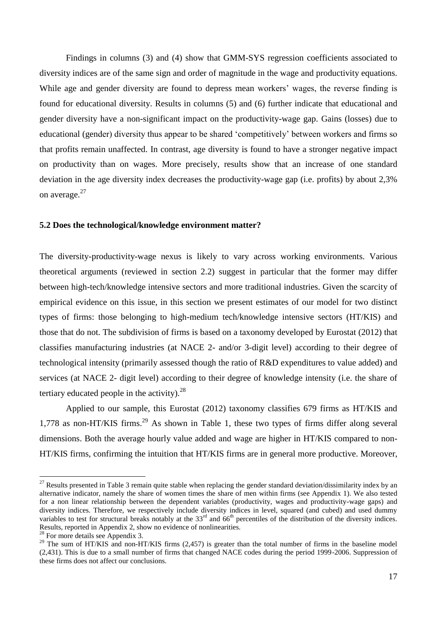Findings in columns (3) and (4) show that GMM-SYS regression coefficients associated to diversity indices are of the same sign and order of magnitude in the wage and productivity equations. While age and gender diversity are found to depress mean workers' wages, the reverse finding is found for educational diversity. Results in columns (5) and (6) further indicate that educational and gender diversity have a non-significant impact on the productivity-wage gap. Gains (losses) due to educational (gender) diversity thus appear to be shared 'competitively' between workers and firms so that profits remain unaffected. In contrast, age diversity is found to have a stronger negative impact on productivity than on wages. More precisely, results show that an increase of one standard deviation in the age diversity index decreases the productivity-wage gap (i.e. profits) by about 2,3% on average.<sup>27</sup>

#### **5.2 Does the technological/knowledge environment matter?**

The diversity-productivity-wage nexus is likely to vary across working environments. Various theoretical arguments (reviewed in section 2.2) suggest in particular that the former may differ between high-tech/knowledge intensive sectors and more traditional industries. Given the scarcity of empirical evidence on this issue, in this section we present estimates of our model for two distinct types of firms: those belonging to high-medium tech/knowledge intensive sectors (HT/KIS) and those that do not. The subdivision of firms is based on a taxonomy developed by Eurostat (2012) that classifies manufacturing industries (at [NACE](http://epp.eurostat.ec.europa.eu/statistics_explained/index.php/Glossary:NACE) 2- and/or 3-digit level) according to their degree of technological intensity (primarily assessed though the ratio of [R&D](http://epp.eurostat.ec.europa.eu/statistics_explained/index.php/Glossary:R_%26_D) expenditures to value added) and services (at [NACE](http://epp.eurostat.ec.europa.eu/statistics_explained/index.php/Glossary:NACE) 2- digit level) according to their degree of knowledge intensity (i.e. the share of tertiary educated people in the activity).  $28$ 

Applied to our sample, this Eurostat (2012) taxonomy classifies 679 firms as HT/KIS and 1,778 as non-HT/KIS firms.<sup>29</sup> As shown in Table 1, these two types of firms differ along several dimensions. Both the average hourly value added and wage are higher in HT/KIS compared to non-HT/KIS firms, confirming the intuition that HT/KIS firms are in general more productive. Moreover,

 $27$  Results presented in Table 3 remain quite stable when replacing the gender standard deviation/dissimilarity index by an alternative indicator, namely the share of women times the share of men within firms (see Appendix 1). We also tested for a non linear relationship between the dependent variables (productivity, wages and productivity-wage gaps) and diversity indices. Therefore, we respectively include diversity indices in level, squared (and cubed) and used dummy variables to test for structural breaks notably at the  $33<sup>rd</sup>$  and  $66<sup>th</sup>$  percentiles of the distribution of the diversity indices. Results, reported in Appendix 2, show no evidence of nonlinearities.

 $28$  For more details see Appendix 3.

<sup>&</sup>lt;sup>29</sup> The sum of HT/KIS and non-HT/KIS firms  $(2,457)$  is greater than the total number of firms in the baseline model (2,431). This is due to a small number of firms that changed NACE codes during the period 1999-2006. Suppression of these firms does not affect our conclusions.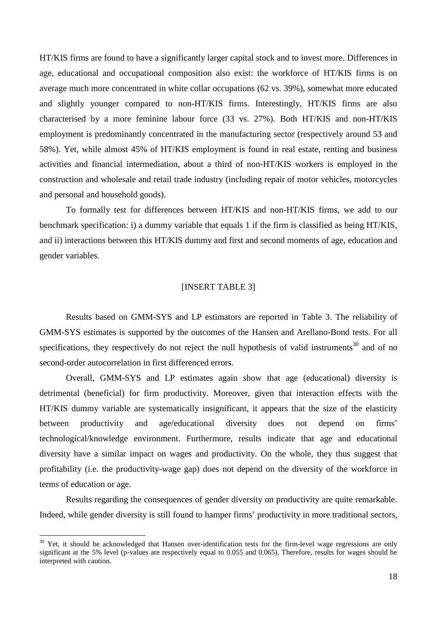HT/KIS firms are found to have a significantly larger capital stock and to invest more. Differences in age, educational and occupational composition also exist: the workforce of HT/KIS firms is on average much more concentrated in white collar occupations (62 vs. 39%), somewhat more educated and slightly younger compared to non-HT/KIS firms. Interestingly, HT/KIS firms are also characterised by a more feminine labour force (33 vs. 27%). Both HT/KIS and non-HT/KIS employment is predominantly concentrated in the manufacturing sector (respectively around 53 and 58%). Yet, while almost 45% of HT/KIS employment is found in real estate, renting and business activities and financial intermediation, about a third of non-HT/KIS workers is employed in the construction and wholesale and retail trade industry (including repair of motor vehicles, motorcycles and personal and household goods).

To formally test for differences between HT/KIS and non-HT/KIS firms, we add to our benchmark specification: i) a dummy variable that equals 1 if the firm is classified as being HT/KIS, and ii) interactions between this HT/KIS dummy and first and second moments of age, education and gender variables.

## [INSERT TABLE 3]

Results based on GMM-SYS and LP estimators are reported in Table 3. The reliability of GMM-SYS estimates is supported by the outcomes of the Hansen and Arellano-Bond tests. For all specifications, they respectively do not reject the null hypothesis of valid instruments<sup>30</sup> and of no second-order autocorrelation in first differenced errors.

Overall, GMM-SYS and LP estimates again show that age (educational) diversity is detrimental (beneficial) for firm productivity. Moreover, given that interaction effects with the HT/KIS dummy variable are systematically insignificant, it appears that the size of the elasticity between productivity and age/educational diversity does not depend on firms' technological/knowledge environment. Furthermore, results indicate that age and educational diversity have a similar impact on wages and productivity. On the whole, they thus suggest that profitability (i.e. the productivity-wage gap) does not depend on the diversity of the workforce in terms of education or age.

Results regarding the consequences of gender diversity on productivity are quite remarkable. Indeed, while gender diversity is still found to hamper firms' productivity in more traditional sectors,

 $30$  Yet, it should be acknowledged that Hansen over-identification tests for the firm-level wage regressions are only significant at the 5% level (p-values are respectively equal to 0.055 and 0.065). Therefore, results for wages should be interpreted with caution.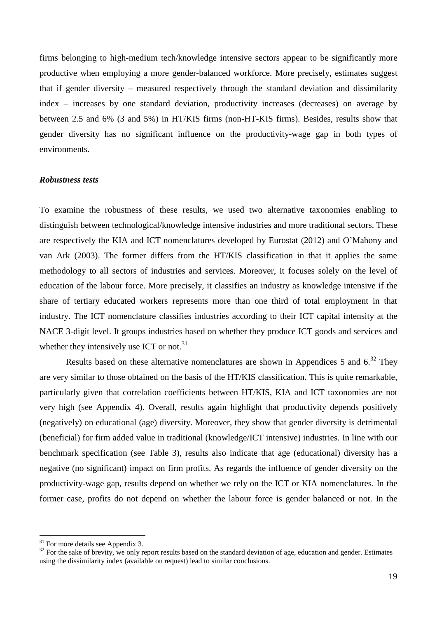firms belonging to high-medium tech/knowledge intensive sectors appear to be significantly more productive when employing a more gender-balanced workforce. More precisely, estimates suggest that if gender diversity – measured respectively through the standard deviation and dissimilarity index – increases by one standard deviation, productivity increases (decreases) on average by between 2.5 and 6% (3 and 5%) in HT/KIS firms (non-HT-KIS firms). Besides, results show that gender diversity has no significant influence on the productivity-wage gap in both types of environments.

## *Robustness tests*

To examine the robustness of these results, we used two alternative taxonomies enabling to distinguish between technological/knowledge intensive industries and more traditional sectors. These are respectively the KIA and ICT nomenclatures developed by Eurostat (2012) and O'Mahony and van Ark (2003). The former differs from the HT/KIS classification in that it applies the same methodology to all sectors of industries and services. Moreover, it focuses solely on the level of education of the labour force. More precisely, it classifies an industry as knowledge intensive if the share of tertiary educated workers represents more than one third of total employment in that industry. The ICT nomenclature classifies industries according to their ICT capital intensity at the NACE 3-digit level. It groups industries based on whether they produce ICT goods and services and whether they intensively use ICT or not.<sup>31</sup>

Results based on these alternative nomenclatures are shown in Appendices 5 and  $6^{32}$  They are very similar to those obtained on the basis of the HT/KIS classification. This is quite remarkable, particularly given that correlation coefficients between HT/KIS, KIA and ICT taxonomies are not very high (see Appendix 4). Overall, results again highlight that productivity depends positively (negatively) on educational (age) diversity. Moreover, they show that gender diversity is detrimental (beneficial) for firm added value in traditional (knowledge/ICT intensive) industries. In line with our benchmark specification (see Table 3), results also indicate that age (educational) diversity has a negative (no significant) impact on firm profits. As regards the influence of gender diversity on the productivity-wage gap, results depend on whether we rely on the ICT or KIA nomenclatures. In the former case, profits do not depend on whether the labour force is gender balanced or not. In the

 $31$  For more details see Appendix 3.

<sup>&</sup>lt;sup>32</sup> For the sake of brevity, we only report results based on the standard deviation of age, education and gender. Estimates using the dissimilarity index (available on request) lead to similar conclusions.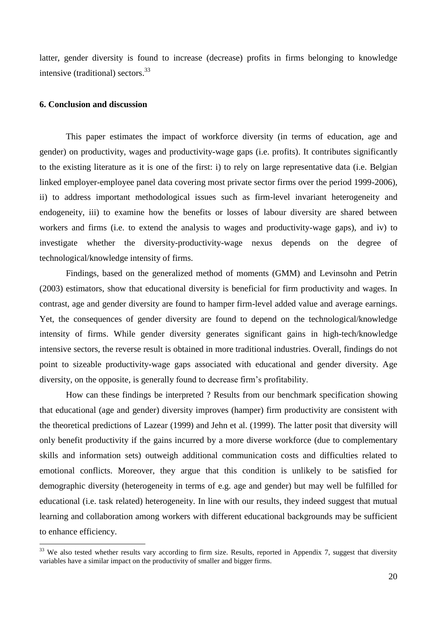latter, gender diversity is found to increase (decrease) profits in firms belonging to knowledge intensive (traditional) sectors.  $33$ 

## **6. Conclusion and discussion**

 $\overline{a}$ 

This paper estimates the impact of workforce diversity (in terms of education, age and gender) on productivity, wages and productivity-wage gaps (i.e. profits). It contributes significantly to the existing literature as it is one of the first: i) to rely on large representative data (i.e. Belgian linked employer-employee panel data covering most private sector firms over the period 1999-2006), ii) to address important methodological issues such as firm-level invariant heterogeneity and endogeneity, iii) to examine how the benefits or losses of labour diversity are shared between workers and firms (i.e. to extend the analysis to wages and productivity-wage gaps), and iv) to investigate whether the diversity-productivity-wage nexus depends on the degree of technological/knowledge intensity of firms.

Findings, based on the generalized method of moments (GMM) and Levinsohn and Petrin (2003) estimators, show that educational diversity is beneficial for firm productivity and wages. In contrast, age and gender diversity are found to hamper firm-level added value and average earnings. Yet, the consequences of gender diversity are found to depend on the technological/knowledge intensity of firms. While gender diversity generates significant gains in high-tech/knowledge intensive sectors, the reverse result is obtained in more traditional industries. Overall, findings do not point to sizeable productivity-wage gaps associated with educational and gender diversity. Age diversity, on the opposite, is generally found to decrease firm's profitability.

How can these findings be interpreted ? Results from our benchmark specification showing that educational (age and gender) diversity improves (hamper) firm productivity are consistent with the theoretical predictions of Lazear (1999) and Jehn et al. (1999). The latter posit that diversity will only benefit productivity if the gains incurred by a more diverse workforce (due to complementary skills and information sets) outweigh additional communication costs and difficulties related to emotional conflicts. Moreover, they argue that this condition is unlikely to be satisfied for demographic diversity (heterogeneity in terms of e.g. age and gender) but may well be fulfilled for educational (i.e. task related) heterogeneity. In line with our results, they indeed suggest that mutual learning and collaboration among workers with different educational backgrounds may be sufficient to enhance efficiency.

 $33$  We also tested whether results vary according to firm size. Results, reported in Appendix 7, suggest that diversity variables have a similar impact on the productivity of smaller and bigger firms.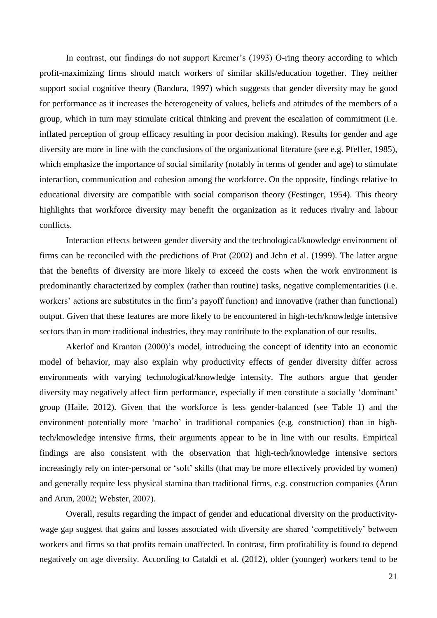In contrast, our findings do not support Kremer's (1993) O-ring theory according to which profit-maximizing firms should match workers of similar skills/education together. They neither support social cognitive theory (Bandura, 1997) which suggests that gender diversity may be good for performance as it increases the heterogeneity of values, beliefs and attitudes of the members of a group, which in turn may stimulate critical thinking and prevent the escalation of commitment (i.e. inflated perception of group efficacy resulting in poor decision making). Results for gender and age diversity are more in line with the conclusions of the organizational literature (see e.g. Pfeffer, 1985), which emphasize the importance of social similarity (notably in terms of gender and age) to stimulate interaction, communication and cohesion among the workforce. On the opposite, findings relative to educational diversity are compatible with social comparison theory (Festinger, 1954). This theory highlights that workforce diversity may benefit the organization as it reduces rivalry and labour conflicts.

Interaction effects between gender diversity and the technological/knowledge environment of firms can be reconciled with the predictions of Prat (2002) and Jehn et al. (1999). The latter argue that the benefits of diversity are more likely to exceed the costs when the work environment is predominantly characterized by complex (rather than routine) tasks, negative complementarities (i.e. workers' actions are substitutes in the firm's payoff function) and innovative (rather than functional) output. Given that these features are more likely to be encountered in high-tech/knowledge intensive sectors than in more traditional industries, they may contribute to the explanation of our results.

Akerlof and Kranton (2000)'s model, introducing the concept of identity into an economic model of behavior, may also explain why productivity effects of gender diversity differ across environments with varying technological/knowledge intensity. The authors argue that gender diversity may negatively affect firm performance, especially if men constitute a socially 'dominant' group (Haile, 2012). Given that the workforce is less gender-balanced (see Table 1) and the environment potentially more 'macho' in traditional companies (e.g. construction) than in hightech/knowledge intensive firms, their arguments appear to be in line with our results. Empirical findings are also consistent with the observation that high-tech/knowledge intensive sectors increasingly rely on inter-personal or 'soft' skills (that may be more effectively provided by women) and generally require less physical stamina than traditional firms, e.g. construction companies (Arun and Arun, 2002; Webster, 2007).

Overall, results regarding the impact of gender and educational diversity on the productivitywage gap suggest that gains and losses associated with diversity are shared 'competitively' between workers and firms so that profits remain unaffected. In contrast, firm profitability is found to depend negatively on age diversity. According to Cataldi et al. (2012), older (younger) workers tend to be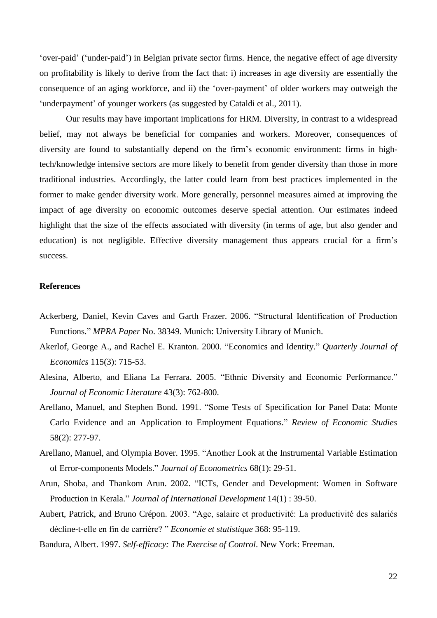'over-paid' ('under-paid') in Belgian private sector firms. Hence, the negative effect of age diversity on profitability is likely to derive from the fact that: i) increases in age diversity are essentially the consequence of an aging workforce, and ii) the 'over-payment' of older workers may outweigh the 'underpayment' of younger workers (as suggested by Cataldi et al., 2011).

Our results may have important implications for HRM. Diversity, in contrast to a widespread belief, may not always be beneficial for companies and workers. Moreover, consequences of diversity are found to substantially depend on the firm's economic environment: firms in hightech/knowledge intensive sectors are more likely to benefit from gender diversity than those in more traditional industries. Accordingly, the latter could learn from best practices implemented in the former to make gender diversity work. More generally, personnel measures aimed at improving the impact of age diversity on economic outcomes deserve special attention. Our estimates indeed highlight that the size of the effects associated with diversity (in terms of age, but also gender and education) is not negligible. Effective diversity management thus appears crucial for a firm's success.

## **References**

- Ackerberg, Daniel, Kevin Caves and Garth Frazer. 2006. "Structural Identification of Production Functions." *MPRA Paper* No. 38349. Munich: University Library of Munich.
- Akerlof, George A., and Rachel E. Kranton. 2000. "Economics and Identity." *Quarterly Journal of Economics* 115(3): 715-53.
- Alesina, Alberto, and Eliana La Ferrara. 2005. "Ethnic Diversity and Economic Performance." *Journal of Economic Literature* 43(3): 762-800.
- Arellano, Manuel, and Stephen Bond. 1991. "Some Tests of Specification for Panel Data: Monte Carlo Evidence and an Application to Employment Equations." *Review of Economic Studies* 58(2): 277-97.
- Arellano, Manuel, and Olympia Bover. 1995. "Another Look at the Instrumental Variable Estimation of Error-components Models." *Journal of Econometrics* 68(1): 29-51.
- Arun, Shoba, and Thankom Arun. 2002. "ICTs, Gender and Development: Women in Software Production in Kerala." *Journal of International Development* 14(1) : 39-50.
- Aubert, Patrick, and Bruno Crépon. 2003. "Age, salaire et productivité: La productivité des salariés décline-t-elle en fin de carrière? " *Economie et statistique* 368: 95-119.
- Bandura, Albert. 1997. *Self-efficacy: The Exercise of Control*. New York: Freeman.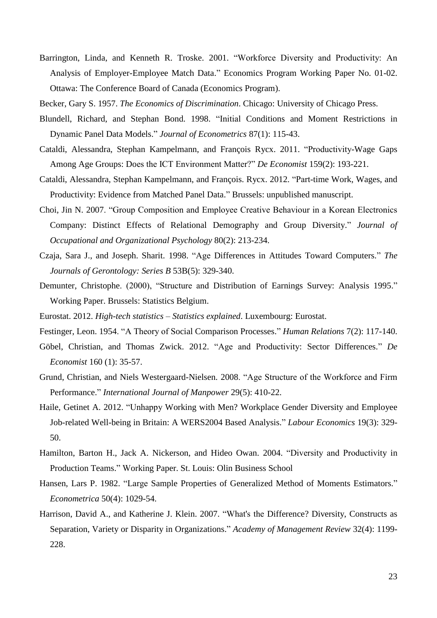- Barrington, Linda, and Kenneth R. Troske. 2001. "Workforce Diversity and Productivity: An Analysis of Employer-Employee Match Data." Economics Program Working Paper No. 01-02. Ottawa: The Conference Board of Canada (Economics Program).
- Becker, Gary S. 1957. *The Economics of Discrimination*. Chicago: University of Chicago Press.
- Blundell, Richard, and Stephan Bond. 1998. "Initial Conditions and Moment Restrictions in Dynamic Panel Data Models." *Journal of Econometrics* 87(1): 115-43.
- Cataldi, Alessandra, Stephan Kampelmann, and François Rycx. 2011. "Productivity-Wage Gaps Among Age Groups: Does the ICT Environment Matter?" *De Economist* 159(2): 193-221.
- Cataldi, Alessandra, Stephan Kampelmann, and François. Rycx. 2012. "Part-time Work, Wages, and Productivity: Evidence from Matched Panel Data." Brussels: unpublished manuscript.
- Choi, Jin N. 2007. "Group Composition and Employee Creative Behaviour in a Korean Electronics Company: Distinct Effects of Relational Demography and Group Diversity." *Journal of Occupational and Organizational Psychology* 80(2): 213-234.
- Czaja, Sara J., and Joseph. Sharit. 1998. "Age Differences in Attitudes Toward Computers." *The Journals of Gerontology: Series B* 53B(5): 329-340.
- Demunter, Christophe. (2000), "Structure and Distribution of Earnings Survey: Analysis 1995." Working Paper. Brussels: Statistics Belgium.
- Eurostat. 2012. *High-tech statistics – Statistics explained*. Luxembourg: Eurostat.
- Festinger, Leon. 1954. "A Theory of Social Comparison Processes." *Human Relations* 7(2): 117-140.
- Göbel, Christian, and Thomas Zwick. 2012. "Age and Productivity: Sector Differences." *De Economist* 160 (1): 35-57.
- Grund, Christian, and Niels Westergaard-Nielsen. 2008. "Age Structure of the Workforce and Firm Performance." *International Journal of Manpower* 29(5): 410-22.
- Haile, Getinet A. 2012. "Unhappy Working with Men? Workplace Gender Diversity and Employee Job-related Well-being in Britain: A WERS2004 Based Analysis." *Labour Economics* 19(3): 329- 50.
- Hamilton, Barton H., Jack A. Nickerson, and Hideo Owan. 2004. "Diversity and Productivity in Production Teams." Working Paper. St. Louis: Olin Business School
- Hansen, Lars P. 1982. "Large Sample Properties of Generalized Method of Moments Estimators." *Econometrica* 50(4): 1029-54.
- Harrison, David A., and Katherine J. Klein. 2007. "What's the Difference? Diversity, Constructs as Separation, Variety or Disparity in Organizations." *Academy of Management Review* 32(4): 1199- 228.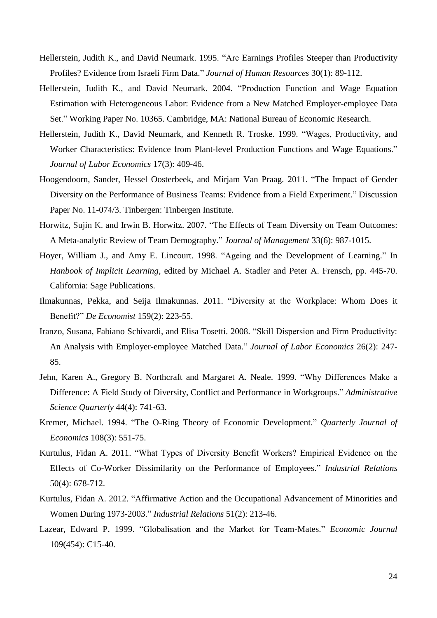- Hellerstein, Judith K., and David Neumark. 1995. "Are Earnings Profiles Steeper than Productivity Profiles? Evidence from Israeli Firm Data." *Journal of Human Resources* 30(1): 89-112.
- Hellerstein, Judith K., and David Neumark. 2004. "Production Function and Wage Equation Estimation with Heterogeneous Labor: Evidence from a New Matched Employer-employee Data Set." Working Paper No. 10365. Cambridge, MA: National Bureau of Economic Research.
- Hellerstein, Judith K., David Neumark, and Kenneth R. Troske. 1999. "Wages, Productivity, and Worker Characteristics: Evidence from Plant-level Production Functions and Wage Equations." *Journal of Labor Economics* 17(3): 409-46.
- Hoogendoorn, Sander, Hessel Oosterbeek, and Mirjam Van Praag. 2011. "The Impact of Gender Diversity on the Performance of Business Teams: Evidence from a Field Experiment." Discussion Paper No. 11-074/3. Tinbergen: Tinbergen Institute.
- Horwitz, Sujin K. and Irwin B. Horwitz. 2007. "The Effects of Team Diversity on Team Outcomes: A Meta-analytic Review of Team Demography." *Journal of Management* 33(6): 987-1015.
- Hoyer, William J., and Amy E. Lincourt. 1998. "Ageing and the Development of Learning." In *Hanbook of Implicit Learning*, edited by Michael A. Stadler and Peter A. Frensch, pp. 445-70. California: Sage Publications.
- Ilmakunnas, Pekka, and Seija Ilmakunnas. 2011. "Diversity at the Workplace: Whom Does it Benefit?" *De Economist* 159(2): 223-55.
- Iranzo, Susana, Fabiano Schivardi, and Elisa Tosetti. 2008. "Skill Dispersion and Firm Productivity: An Analysis with Employer-employee Matched Data." *Journal of Labor Economics* 26(2): 247- 85.
- Jehn, Karen A., Gregory B. Northcraft and Margaret A. Neale. 1999. "Why Differences Make a Difference: A Field Study of Diversity, Conflict and Performance in Workgroups." *Administrative Science Quarterly* 44(4): 741-63.
- Kremer, Michael. 1994. "The O-Ring Theory of Economic Development." *Quarterly Journal of Economics* 108(3): 551-75.
- Kurtulus, Fidan A. 2011. "What Types of Diversity Benefit Workers? Empirical Evidence on the Effects of Co-Worker Dissimilarity on the Performance of Employees." *Industrial Relations* 50(4): 678-712.
- Kurtulus, Fidan A. 2012. "Affirmative Action and the Occupational Advancement of Minorities and Women During 1973-2003." *Industrial Relations* 51(2): 213-46.
- Lazear, Edward P. 1999. "Globalisation and the Market for Team-Mates." *Economic Journal* 109(454): C15-40.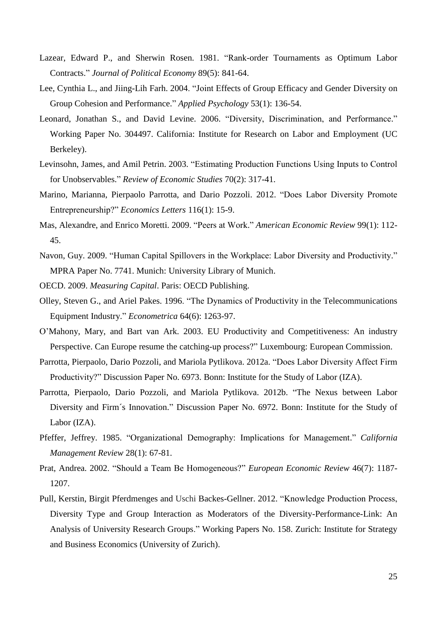- Lazear, Edward P., and Sherwin Rosen. 1981. "Rank-order Tournaments as Optimum Labor Contracts." *Journal of Political Economy* 89(5): 841-64.
- Lee, Cynthia L., and Jiing-Lih Farh. 2004. "Joint Effects of Group Efficacy and Gender Diversity on Group Cohesion and Performance." *Applied Psychology* 53(1): 136-54.
- Leonard, Jonathan S., and David Levine. 2006. "Diversity, Discrimination, and Performance." Working Paper No. 304497. California: Institute for Research on Labor and Employment (UC Berkeley).
- Levinsohn, James, and Amil Petrin. 2003. "Estimating Production Functions Using Inputs to Control for Unobservables." *Review of Economic Studies* 70(2): 317-41.
- Marino, Marianna, Pierpaolo Parrotta, and Dario Pozzoli. 2012. "Does Labor Diversity Promote Entrepreneurship?" *Economics Letters* 116(1): 15-9.
- Mas, Alexandre, and Enrico Moretti. 2009. "Peers at Work." *American Economic Review* 99(1): 112- 45.
- Navon, Guy. 2009. "Human Capital Spillovers in the Workplace: Labor Diversity and Productivity." MPRA Paper No. 7741. Munich: University Library of Munich.

OECD. 2009. *Measuring Capital*. Paris: OECD Publishing.

- Olley, Steven G., and Ariel Pakes. 1996. "The Dynamics of Productivity in the Telecommunications Equipment Industry." *Econometrica* 64(6): 1263-97.
- O'Mahony, Mary, and Bart van Ark. 2003. EU Productivity and Competitiveness: An industry Perspective. Can Europe resume the catching-up process?" Luxembourg: European Commission.
- Parrotta, Pierpaolo, Dario Pozzoli, and Mariola Pytlikova. 2012a. "Does Labor Diversity Affect Firm Productivity?" Discussion Paper No. 6973. Bonn: Institute for the Study of Labor (IZA).
- Parrotta, Pierpaolo, Dario Pozzoli, and Mariola Pytlikova. 2012b. "The Nexus between Labor Diversity and Firm´s Innovation." Discussion Paper No. 6972. Bonn: Institute for the Study of Labor (IZA).
- Pfeffer, Jeffrey. 1985. "Organizational Demography: Implications for Management." *California Management Review* 28(1): 67-81.
- Prat, Andrea. 2002. "Should a Team Be Homogeneous?" *European Economic Review* 46(7): 1187- 1207.
- Pull, Kerstin, Birgit Pferdmenges and Uschi Backes-Gellner. 2012. "Knowledge Production Process, Diversity Type and Group Interaction as Moderators of the Diversity-Performance-Link: An Analysis of University Research Groups." Working Papers No. 158. Zurich: Institute for Strategy and Business Economics (University of Zurich).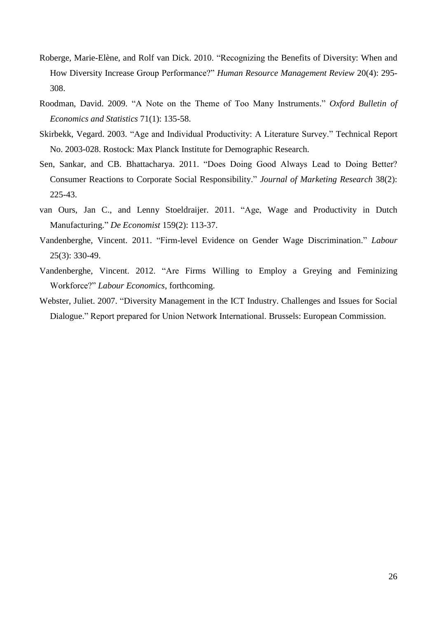- Roberge, Marie-Elène, and Rolf van Dick. 2010. "Recognizing the Benefits of Diversity: When and How Diversity Increase Group Performance?" *Human Resource Management Review* 20(4): 295- 308.
- Roodman, David. 2009. "A Note on the Theme of Too Many Instruments." *Oxford Bulletin of Economics and Statistics* 71(1): 135-58.
- Skirbekk, Vegard. 2003. "Age and Individual Productivity: A Literature Survey." Technical Report No. 2003-028. Rostock: Max Planck Institute for Demographic Research.
- Sen, Sankar, and CB. Bhattacharya. 2011. "Does Doing Good Always Lead to Doing Better? Consumer Reactions to Corporate Social Responsibility." *Journal of Marketing Research* 38(2): 225-43.
- van Ours, Jan C., and Lenny Stoeldraijer. 2011. "Age, Wage and Productivity in Dutch Manufacturing." *De Economist* 159(2): 113-37.
- Vandenberghe, Vincent. 2011. "Firm-level Evidence on Gender Wage Discrimination." *Labour* 25(3): 330-49.
- Vandenberghe, Vincent. 2012. "Are Firms Willing to Employ a Greying and Feminizing Workforce?" *Labour Economics*, forthcoming.
- Webster, Juliet. 2007. "Diversity Management in the ICT Industry. Challenges and Issues for Social Dialogue." Report prepared for Union Network International. Brussels: European Commission.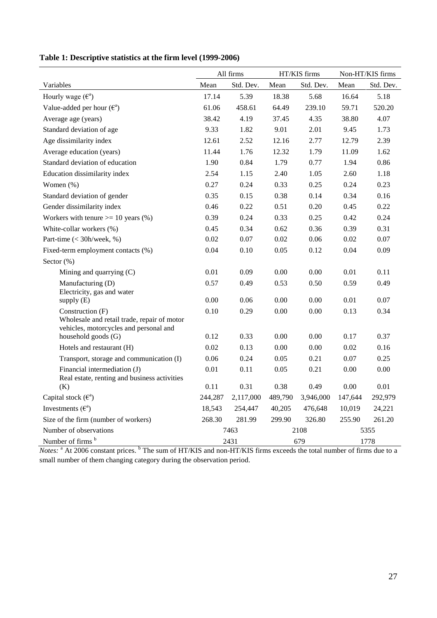|       |                                                                     |                                                                                                     |                                                                     | Non-HT/KIS firms                                                                                          |                                                                     |
|-------|---------------------------------------------------------------------|-----------------------------------------------------------------------------------------------------|---------------------------------------------------------------------|-----------------------------------------------------------------------------------------------------------|---------------------------------------------------------------------|
| Mean  | Std. Dev.                                                           | Mean                                                                                                | Std. Dev.                                                           | Mean                                                                                                      | Std. Dev.                                                           |
| 17.14 | 5.39                                                                | 18.38                                                                                               | 5.68                                                                | 16.64                                                                                                     | 5.18                                                                |
| 61.06 | 458.61                                                              | 64.49                                                                                               | 239.10                                                              | 59.71                                                                                                     | 520.20                                                              |
| 38.42 | 4.19                                                                | 37.45                                                                                               | 4.35                                                                | 38.80                                                                                                     | 4.07                                                                |
| 9.33  | 1.82                                                                | 9.01                                                                                                | 2.01                                                                | 9.45                                                                                                      | 1.73                                                                |
| 12.61 | 2.52                                                                | 12.16                                                                                               | 2.77                                                                | 12.79                                                                                                     | 2.39                                                                |
| 11.44 | 1.76                                                                | 12.32                                                                                               | 1.79                                                                | 11.09                                                                                                     | 1.62                                                                |
| 1.90  | 0.84                                                                | 1.79                                                                                                | 0.77                                                                | 1.94                                                                                                      | 0.86                                                                |
| 2.54  | 1.15                                                                | 2.40                                                                                                | 1.05                                                                | 2.60                                                                                                      | 1.18                                                                |
| 0.27  | 0.24                                                                | 0.33                                                                                                | 0.25                                                                | 0.24                                                                                                      | 0.23                                                                |
| 0.35  | 0.15                                                                | 0.38                                                                                                | 0.14                                                                | 0.34                                                                                                      | 0.16                                                                |
| 0.46  | 0.22                                                                | 0.51                                                                                                | 0.20                                                                | 0.45                                                                                                      | 0.22                                                                |
| 0.39  | 0.24                                                                | 0.33                                                                                                | 0.25                                                                | 0.42                                                                                                      | 0.24                                                                |
| 0.45  | 0.34                                                                | 0.62                                                                                                | 0.36                                                                | 0.39                                                                                                      | 0.31                                                                |
| 0.02  | 0.07                                                                | 0.02                                                                                                | 0.06                                                                | 0.02                                                                                                      | 0.07                                                                |
| 0.04  | 0.10                                                                | 0.05                                                                                                | 0.12                                                                | 0.04                                                                                                      | 0.09                                                                |
|       |                                                                     |                                                                                                     |                                                                     |                                                                                                           |                                                                     |
| 0.01  | 0.09                                                                | 0.00                                                                                                | 0.00                                                                | 0.01                                                                                                      | 0.11                                                                |
| 0.57  | 0.49                                                                | 0.53                                                                                                | 0.50                                                                | 0.59                                                                                                      | 0.49                                                                |
|       |                                                                     |                                                                                                     |                                                                     |                                                                                                           | 0.07                                                                |
|       |                                                                     |                                                                                                     |                                                                     |                                                                                                           |                                                                     |
|       |                                                                     |                                                                                                     |                                                                     |                                                                                                           | 0.34                                                                |
|       |                                                                     |                                                                                                     |                                                                     |                                                                                                           |                                                                     |
|       |                                                                     |                                                                                                     |                                                                     |                                                                                                           | 0.37                                                                |
|       |                                                                     |                                                                                                     |                                                                     |                                                                                                           | 0.16                                                                |
| 0.06  | 0.24                                                                | 0.05                                                                                                | 0.21                                                                | 0.07                                                                                                      | 0.25                                                                |
| 0.01  | 0.11                                                                | 0.05                                                                                                | 0.21                                                                | 0.00                                                                                                      | 0.00                                                                |
|       |                                                                     |                                                                                                     |                                                                     |                                                                                                           | 0.01                                                                |
|       |                                                                     |                                                                                                     |                                                                     |                                                                                                           | 292,979                                                             |
|       |                                                                     |                                                                                                     |                                                                     |                                                                                                           | 24,221                                                              |
|       |                                                                     |                                                                                                     |                                                                     |                                                                                                           | 261.20                                                              |
|       |                                                                     |                                                                                                     |                                                                     | 5355                                                                                                      |                                                                     |
|       |                                                                     |                                                                                                     |                                                                     |                                                                                                           | 1778                                                                |
|       | 0.00<br>0.10<br>0.12<br>0.02<br>0.11<br>244,287<br>18,543<br>268.30 | All firms<br>0.06<br>0.29<br>0.33<br>0.13<br>0.31<br>2,117,000<br>254,447<br>281.99<br>7463<br>2431 | 0.00<br>0.00<br>0.00<br>0.00<br>0.38<br>489,790<br>40,205<br>299.90 | HT/KIS firms<br>0.00<br>0.00<br>0.00<br>$0.00\,$<br>0.49<br>3,946,000<br>476,648<br>326.80<br>2108<br>679 | 0.01<br>0.13<br>0.17<br>0.02<br>0.00<br>147,644<br>10,019<br>255.90 |

**Table 1: Descriptive statistics at the firm level (1999-2006)**

*Notes:* <sup>a</sup> At 2006 constant prices. <sup>b</sup> The sum of HT/KIS and non-HT/KIS firms exceeds the total number of firms due to a small number of them changing category during the observation period.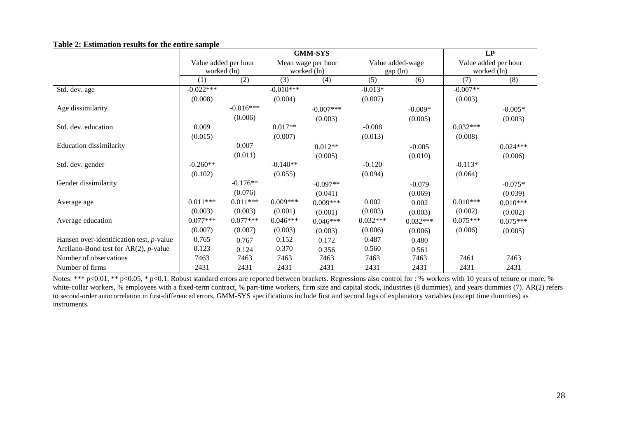|                                             |                      |             |             | <b>GMM-SYS</b>     |            |                  | LP          |                      |  |
|---------------------------------------------|----------------------|-------------|-------------|--------------------|------------|------------------|-------------|----------------------|--|
|                                             | Value added per hour |             |             | Mean wage per hour |            | Value added-wage |             | Value added per hour |  |
|                                             |                      | worked (ln) |             | worked (ln)        |            | gap(ln)          | worked (ln) |                      |  |
|                                             | (1)                  | (2)         | (3)         | (4)                | (5)        | (6)              | (7)         | (8)                  |  |
| Std. dev. age                               | $-0.022***$          |             | $-0.010***$ |                    | $-0.013*$  |                  | $-0.007**$  |                      |  |
|                                             | (0.008)              |             | (0.004)     |                    | (0.007)    |                  | (0.003)     |                      |  |
| Age dissimilarity                           |                      | $-0.016***$ |             | $-0.007***$        |            | $-0.009*$        |             | $-0.005*$            |  |
|                                             |                      | (0.006)     |             | (0.003)            |            | (0.005)          |             | (0.003)              |  |
| Std. dev. education                         | 0.009                |             | $0.017**$   |                    | $-0.008$   |                  | $0.032***$  |                      |  |
|                                             | (0.015)              |             | (0.007)     |                    | (0.013)    |                  | (0.008)     |                      |  |
| <b>Education dissimilarity</b>              |                      | 0.007       |             | $0.012**$          |            | $-0.005$         |             | $0.024***$           |  |
|                                             |                      | (0.011)     |             | (0.005)            |            | (0.010)          |             | (0.006)              |  |
| Std. dev. gender                            | $-0.260**$           |             | $-0.140**$  |                    | $-0.120$   |                  | $-0.113*$   |                      |  |
|                                             | (0.102)              |             | (0.055)     |                    | (0.094)    |                  | (0.064)     |                      |  |
| Gender dissimilarity                        |                      | $-0.176**$  |             | $-0.097**$         |            | $-0.079$         |             | $-0.075*$            |  |
|                                             |                      | (0.076)     |             | (0.041)            |            | (0.069)          |             | (0.039)              |  |
| Average age                                 | $0.011***$           | $0.011***$  | $0.009***$  | $0.009***$         | 0.002      | 0.002            | $0.010***$  | $0.010***$           |  |
|                                             | (0.003)              | (0.003)     | (0.001)     | (0.001)            | (0.003)    | (0.003)          | (0.002)     | (0.002)              |  |
| Average education                           | $0.077***$           | $0.077***$  | $0.046***$  | $0.046***$         | $0.032***$ | $0.032***$       | $0.075***$  | $0.075***$           |  |
|                                             | (0.007)              | (0.007)     | (0.003)     | (0.003)            | (0.006)    | (0.006)          | (0.006)     | (0.005)              |  |
| Hansen over-identification test, $p$ -value | 0.765                | 0.767       | 0.152       | 0.172              | 0.487      | 0.480            |             |                      |  |
| Arellano-Bond test for $AR(2)$ , p-value    | 0.123                | 0.124       | 0.370       | 0.356              | 0.560      | 0.561            |             |                      |  |
| Number of observations                      | 7463                 | 7463        | 7463        | 7463               | 7463       | 7463             | 7461        | 7463                 |  |
| Number of firms                             | 2431                 | 2431        | 2431        | 2431               | 2431       | 2431             | 2431        | 2431                 |  |

#### **Table 2: Estimation results for the entire sample**

Notes: \*\*\* p<0.01, \*\* p<0.05, \* p<0.1. Robust standard errors are reported between brackets. Regressions also control for : % workers with 10 years of tenure or more, % white-collar workers, % employees with a fixed-term contract, % part-time workers, firm size and capital stock, industries (8 dummies), and years dummies (7). AR(2) refers to second-order autocorrelation in first-differenced errors. GMM-SYS specifications include first and second lags of explanatory variables (except time dummies) as instruments.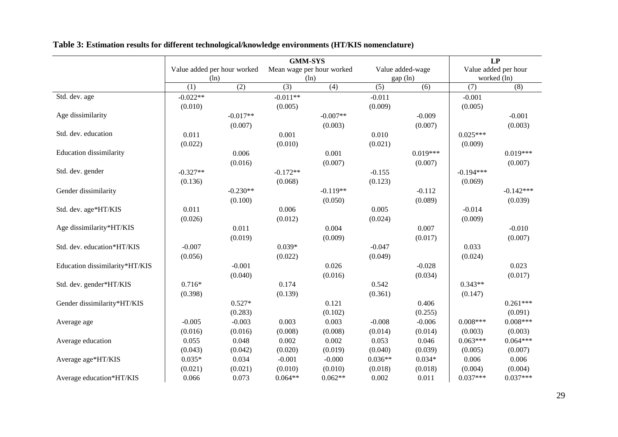|                                |                             |            | LP                        |            |           |                  |             |                      |
|--------------------------------|-----------------------------|------------|---------------------------|------------|-----------|------------------|-------------|----------------------|
|                                | Value added per hour worked |            | Mean wage per hour worked |            |           | Value added-wage |             | Value added per hour |
|                                | (ln)                        |            |                           | (ln)       |           | gap (ln)         |             | worked (ln)          |
|                                | (1)                         | (2)        | (3)                       | (4)        | (5)       | (6)              | (7)         | (8)                  |
| Std. dev. age                  | $-0.022**$                  |            | $-0.011**$                |            | $-0.011$  |                  | $-0.001$    |                      |
|                                | (0.010)                     |            | (0.005)                   |            | (0.009)   |                  | (0.005)     |                      |
| Age dissimilarity              |                             | $-0.017**$ |                           | $-0.007**$ |           | $-0.009$         |             | $-0.001$             |
|                                |                             | (0.007)    |                           | (0.003)    |           | (0.007)          |             | (0.003)              |
| Std. dev. education            | 0.011                       |            | 0.001                     |            | 0.010     |                  | $0.025***$  |                      |
|                                | (0.022)                     |            | (0.010)                   |            | (0.021)   |                  | (0.009)     |                      |
| <b>Education</b> dissimilarity |                             | 0.006      |                           | 0.001      |           | $0.019***$       |             | $0.019***$           |
|                                |                             | (0.016)    |                           | (0.007)    |           | (0.007)          |             | (0.007)              |
| Std. dev. gender               | $-0.327**$                  |            | $-0.172**$                |            | $-0.155$  |                  | $-0.194***$ |                      |
|                                | (0.136)                     |            | (0.068)                   |            | (0.123)   |                  | (0.069)     |                      |
| Gender dissimilarity           |                             | $-0.230**$ |                           | $-0.119**$ |           | $-0.112$         |             | $-0.142***$          |
|                                |                             | (0.100)    |                           | (0.050)    |           | (0.089)          |             | (0.039)              |
| Std. dev. age*HT/KIS           | 0.011                       |            | 0.006                     |            | 0.005     |                  | $-0.014$    |                      |
|                                | (0.026)                     |            | (0.012)                   |            | (0.024)   |                  | (0.009)     |                      |
| Age dissimilarity*HT/KIS       |                             | 0.011      |                           | 0.004      |           | 0.007            |             | $-0.010$             |
|                                |                             | (0.019)    |                           | (0.009)    |           | (0.017)          |             | (0.007)              |
| Std. dev. education*HT/KIS     | $-0.007$                    |            | $0.039*$                  |            | $-0.047$  |                  | 0.033       |                      |
|                                | (0.056)                     |            | (0.022)                   |            | (0.049)   |                  | (0.024)     |                      |
| Education dissimilarity*HT/KIS |                             | $-0.001$   |                           | 0.026      |           | $-0.028$         |             | 0.023                |
|                                |                             | (0.040)    |                           | (0.016)    |           | (0.034)          |             | (0.017)              |
| Std. dev. gender*HT/KIS        | $0.716*$                    |            | 0.174                     |            | 0.542     |                  | $0.343**$   |                      |
|                                | (0.398)                     |            | (0.139)                   |            | (0.361)   |                  | (0.147)     |                      |
| Gender dissimilarity*HT/KIS    |                             | $0.527*$   |                           | 0.121      |           | 0.406            |             | $0.261***$           |
|                                |                             | (0.283)    |                           | (0.102)    |           | (0.255)          |             | (0.091)              |
| Average age                    | $-0.005$                    | $-0.003$   | 0.003                     | 0.003      | $-0.008$  | $-0.006$         | $0.008***$  | $0.008***$           |
|                                | (0.016)                     | (0.016)    | (0.008)                   | (0.008)    | (0.014)   | (0.014)          | (0.003)     | (0.003)              |
| Average education              | 0.055                       | 0.048      | 0.002                     | 0.002      | 0.053     | 0.046            | $0.063***$  | $0.064***$           |
|                                | (0.043)                     | (0.042)    | (0.020)                   | (0.019)    | (0.040)   | (0.039)          | (0.005)     | (0.007)              |
| Average age*HT/KIS             | $0.035*$                    | 0.034      | $-0.001$                  | $-0.000$   | $0.036**$ | $0.034*$         | 0.006       | 0.006                |
|                                | (0.021)                     | (0.021)    | (0.010)                   | (0.010)    | (0.018)   | (0.018)          | (0.004)     | (0.004)              |
| Average education*HT/KIS       | 0.066                       | 0.073      | $0.064**$                 | $0.062**$  | 0.002     | 0.011            | $0.037***$  | $0.037***$           |

**Table 3: Estimation results for different technological/knowledge environments (HT/KIS nomenclature)**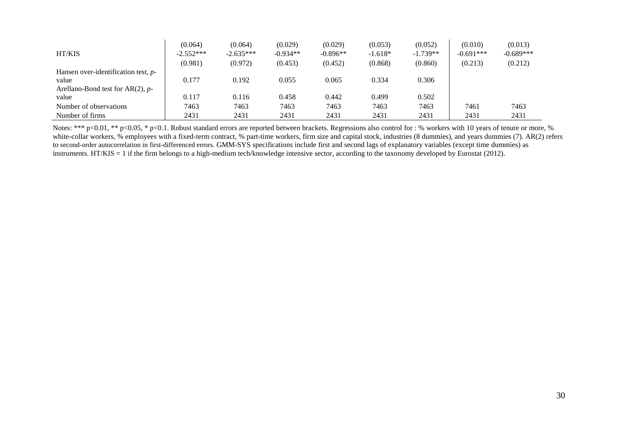| <b>HT/KIS</b>                          | (0.064)<br>$-2.552***$ | (0.064)<br>$-2.635***$ | (0.029)<br>$-0.934**$ | (0.029)<br>$-0.896**$ | (0.053)<br>$-1.618*$ | (0.052)<br>$-1.739**$ | (0.010)<br>$-0.691***$ | (0.013)<br>$-0.689***$ |
|----------------------------------------|------------------------|------------------------|-----------------------|-----------------------|----------------------|-----------------------|------------------------|------------------------|
|                                        | (0.981)                | (0.972)                | (0.453)               | (0.452)               | (0.868)              | (0.860)               | (0.213)                | (0.212)                |
| Hansen over-identification test, $p$ - |                        |                        |                       |                       |                      |                       |                        |                        |
| value                                  | 0.177                  | 0.192                  | 0.055                 | 0.065                 | 0.334                | 0.306                 |                        |                        |
| Arellano-Bond test for $AR(2)$ , p-    |                        |                        |                       |                       |                      |                       |                        |                        |
| value                                  | 0.117                  | 0.116                  | 0.458                 | 0.442                 | 0.499                | 0.502                 |                        |                        |
| Number of observations                 | 7463                   | 7463                   | 7463                  | 7463                  | 7463                 | 7463                  | 7461                   | 7463                   |
| Number of firms                        | 2431                   | 2431                   | 2431                  | 2431                  | 2431                 | 2431                  | 2431                   | 2431                   |

Notes: \*\*\* p<0.01, \*\* p<0.05, \* p<0.1. Robust standard errors are reported between brackets. Regressions also control for : % workers with 10 years of tenure or more, % white-collar workers, % employees with a fixed-term contract, % part-time workers, firm size and capital stock, industries (8 dummies), and years dummies (7). AR(2) refers to second-order autocorrelation in first-differenced errors. GMM-SYS specifications include first and second lags of explanatory variables (except time dummies) as instruments. HT/KIS = 1 if the firm belongs to a high-medium tech/knowledge intensive sector, according to the taxonomy developed by Eurostat (2012).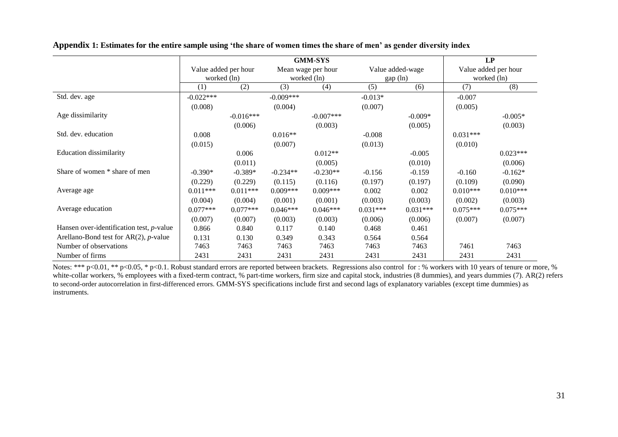|                                                  |                      |             |             | LP                 |            |                  |             |                      |  |
|--------------------------------------------------|----------------------|-------------|-------------|--------------------|------------|------------------|-------------|----------------------|--|
|                                                  | Value added per hour |             |             | Mean wage per hour |            | Value added-wage |             | Value added per hour |  |
|                                                  | worked (ln)          |             | worked (ln) |                    |            | gap (ln)         | worked (ln) |                      |  |
|                                                  | (1)                  | (2)         | (3)         | (4)                | (5)        | (6)              | (7)         | (8)                  |  |
| Std. dev. age                                    | $-0.022***$          |             | $-0.009***$ |                    | $-0.013*$  |                  | $-0.007$    |                      |  |
|                                                  | (0.008)              |             | (0.004)     |                    | (0.007)    |                  | (0.005)     |                      |  |
| Age dissimilarity                                |                      | $-0.016***$ |             | $-0.007$ ***       |            | $-0.009*$        |             | $-0.005*$            |  |
|                                                  |                      | (0.006)     |             | (0.003)            |            | (0.005)          |             | (0.003)              |  |
| Std. dev. education                              | 0.008                |             | $0.016**$   |                    | $-0.008$   |                  | $0.031***$  |                      |  |
|                                                  | (0.015)              |             | (0.007)     |                    | (0.013)    |                  | (0.010)     |                      |  |
| <b>Education dissimilarity</b>                   |                      | 0.006       |             | $0.012**$          |            | $-0.005$         |             | $0.023***$           |  |
|                                                  |                      | (0.011)     |             | (0.005)            |            | (0.010)          |             | (0.006)              |  |
| Share of women * share of men                    | $-0.390*$            | $-0.389*$   | $-0.234**$  | $-0.230**$         | $-0.156$   | $-0.159$         | $-0.160$    | $-0.162*$            |  |
|                                                  | (0.229)              | (0.229)     | (0.115)     | (0.116)            | (0.197)    | (0.197)          | (0.109)     | (0.090)              |  |
| Average age                                      | $0.011***$           | $0.011***$  | $0.009***$  | $0.009***$         | 0.002      | 0.002            | $0.010***$  | $0.010***$           |  |
|                                                  | (0.004)              | (0.004)     | (0.001)     | (0.001)            | (0.003)    | (0.003)          | (0.002)     | (0.003)              |  |
| Average education                                | $0.077***$           | $0.077***$  | $0.046***$  | $0.046***$         | $0.031***$ | $0.031***$       | $0.075***$  | $0.075***$           |  |
|                                                  | (0.007)              | (0.007)     | (0.003)     | (0.003)            | (0.006)    | (0.006)          | (0.007)     | (0.007)              |  |
| Hansen over-identification test, $p$ -value      | 0.866                | 0.840       | 0.117       | 0.140              | 0.468      | 0.461            |             |                      |  |
| Arellano-Bond test for $AR(2)$ , <i>p</i> -value | 0.131                | 0.130       | 0.349       | 0.343              | 0.564      | 0.564            |             |                      |  |
| Number of observations                           | 7463                 | 7463        | 7463        | 7463               | 7463       | 7463             | 7461        | 7463                 |  |
| Number of firms                                  | 2431                 | 2431        | 2431        | 2431               | 2431       | 2431             | 2431        | 2431                 |  |

**Appendix 1: Estimates for the entire sample using 'the share of women times the share of men' as gender diversity index**

Notes: \*\*\* p<0.01, \*\* p<0.05, \* p<0.1. Robust standard errors are reported between brackets. Regressions also control for : % workers with 10 years of tenure or more, % white-collar workers, % employees with a fixed-term contract, % part-time workers, firm size and capital stock, industries (8 dummies), and years dummies (7). AR(2) refers to second-order autocorrelation in first-differenced errors. GMM-SYS specifications include first and second lags of explanatory variables (except time dummies) as instruments.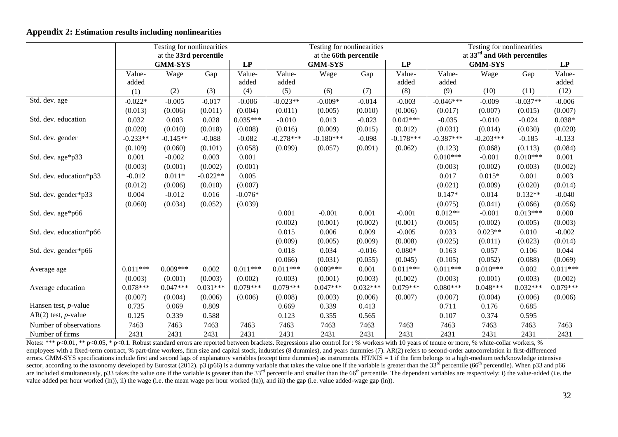## **Appendix 2: Estimation results including nonlinearities**

|                               | Testing for nonlinearities<br>at the 33rd percentile |                |            |                 | Testing for nonlinearities<br>at the 66th percentile |             |            |             | Testing for nonlinearities<br>at $33rd$ and 66th percentiles |                |            |            |
|-------------------------------|------------------------------------------------------|----------------|------------|-----------------|------------------------------------------------------|-------------|------------|-------------|--------------------------------------------------------------|----------------|------------|------------|
|                               |                                                      | <b>GMM-SYS</b> |            | $\overline{LP}$ | <b>GMM-SYS</b>                                       |             |            | LP          |                                                              | <b>GMM-SYS</b> |            |            |
|                               | Value-                                               | Wage           | Gap        | Value-          | Value-                                               | Wage        | Gap        | Value-      | Value-                                                       | Wage           | Gap        | Value-     |
|                               | added                                                |                |            | added           | added                                                |             |            | added       | added                                                        |                |            | added      |
|                               | (1)                                                  | (2)            | (3)        | (4)             | (5)                                                  | (6)         | (7)        | (8)         | (9)                                                          | (10)           | (11)       | (12)       |
| Std. dev. age                 | $-0.022*$                                            | $-0.005$       | $-0.017$   | $-0.006$        | $-0.023**$                                           | $-0.009*$   | $-0.014$   | $-0.003$    | $-0.046***$                                                  | $-0.009$       | $-0.037**$ | $-0.006$   |
|                               | (0.013)                                              | (0.006)        | (0.011)    | (0.004)         | (0.011)                                              | (0.005)     | (0.010)    | (0.006)     | (0.017)                                                      | (0.007)        | (0.015)    | (0.007)    |
| Std. dev. education           | 0.032                                                | 0.003          | 0.028      | $0.035***$      | $-0.010$                                             | 0.013       | $-0.023$   | $0.042***$  | $-0.035$                                                     | $-0.010$       | $-0.024$   | $0.038*$   |
|                               | (0.020)                                              | (0.010)        | (0.018)    | (0.008)         | (0.016)                                              | (0.009)     | (0.015)    | (0.012)     | (0.031)                                                      | (0.014)        | (0.030)    | (0.020)    |
| Std. dev. gender              | $-0.233**$                                           | $-0.145**$     | $-0.088$   | $-0.082$        | $-0.278***$                                          | $-0.180***$ | $-0.098$   | $-0.178***$ | $-0.387***$                                                  | $-0.203***$    | $-0.185$   | $-0.133$   |
|                               | (0.109)                                              | (0.060)        | (0.101)    | (0.058)         | (0.099)                                              | (0.057)     | (0.091)    | (0.062)     | (0.123)                                                      | (0.068)        | (0.113)    | (0.084)    |
| Std. dev. age*p33             | 0.001                                                | $-0.002$       | 0.003      | 0.001           |                                                      |             |            |             | $0.010***$                                                   | $-0.001$       | $0.010***$ | 0.001      |
|                               | (0.003)                                              | (0.001)        | (0.002)    | (0.001)         |                                                      |             |            |             | (0.003)                                                      | (0.002)        | (0.003)    | (0.002)    |
| Std. dev. education*p33       | $-0.012$                                             | $0.011*$       | $-0.022**$ | 0.005           |                                                      |             |            |             | 0.017                                                        | $0.015*$       | 0.001      | 0.003      |
|                               | (0.012)                                              | (0.006)        | (0.010)    | (0.007)         |                                                      |             |            |             | (0.021)                                                      | (0.009)        | (0.020)    | (0.014)    |
| Std. dev. gender*p33          | 0.004                                                | $-0.012$       | 0.016      | $-0.076*$       |                                                      |             |            |             | $0.147*$                                                     | 0.014          | $0.132**$  | $-0.040$   |
|                               | (0.060)                                              | (0.034)        | (0.052)    | (0.039)         |                                                      |             |            |             | (0.075)                                                      | (0.041)        | (0.066)    | (0.056)    |
| Std. dev. age*p66             |                                                      |                |            |                 | 0.001                                                | $-0.001$    | 0.001      | $-0.001$    | $0.012**$                                                    | $-0.001$       | $0.013***$ | 0.000      |
|                               |                                                      |                |            |                 | (0.002)                                              | (0.001)     | (0.002)    | (0.001)     | (0.005)                                                      | (0.002)        | (0.005)    | (0.003)    |
| Std. dev. education*p66       |                                                      |                |            |                 | 0.015                                                | 0.006       | 0.009      | $-0.005$    | 0.033                                                        | $0.023**$      | 0.010      | $-0.002$   |
|                               |                                                      |                |            |                 | (0.009)                                              | (0.005)     | (0.009)    | (0.008)     | (0.025)                                                      | (0.011)        | (0.023)    | (0.014)    |
| Std. dev. gender*p66          |                                                      |                |            |                 | 0.018                                                | 0.034       | $-0.016$   | $0.080*$    | 0.163                                                        | 0.057          | 0.106      | 0.044      |
|                               |                                                      |                |            |                 | (0.066)                                              | (0.031)     | (0.055)    | (0.045)     | (0.105)                                                      | (0.052)        | (0.088)    | (0.069)    |
| Average age                   | $0.011***$                                           | $0.009***$     | 0.002      | $0.011***$      | $0.011***$                                           | $0.009***$  | 0.001      | $0.011***$  | $0.011***$                                                   | $0.010***$     | 0.002      | $0.011***$ |
|                               | (0.003)                                              | (0.001)        | (0.003)    | (0.002)         | (0.003)                                              | (0.001)     | (0.003)    | (0.002)     | (0.003)                                                      | (0.001)        | (0.003)    | (0.002)    |
| Average education             | $0.078***$                                           | $0.047***$     | $0.031***$ | $0.079***$      | $0.079***$                                           | $0.047***$  | $0.032***$ | $0.079***$  | $0.080***$                                                   | $0.048***$     | $0.032***$ | $0.079***$ |
|                               | (0.007)                                              | (0.004)        | (0.006)    | (0.006)         | (0.008)                                              | (0.003)     | (0.006)    | (0.007)     | (0.007)                                                      | (0.004)        | (0.006)    | (0.006)    |
| Hansen test, $p$ -value       | 0.735                                                | 0.069          | 0.809      |                 | 0.669                                                | 0.339       | 0.413      |             | 0.711                                                        | 0.176          | 0.685      |            |
| $AR(2)$ test, <i>p</i> -value | 0.125                                                | 0.339          | 0.588      |                 | 0.123                                                | 0.355       | 0.565      |             | 0.107                                                        | 0.374          | 0.595      |            |
| Number of observations        | 7463                                                 | 7463           | 7463       | 7463            | 7463                                                 | 7463        | 7463       | 7463        | 7463                                                         | 7463           | 7463       | 7463       |
| Number of firms               | 2431                                                 | 2431           | 2431       | 2431            | 2431                                                 | 2431        | 2431       | 2431        | 2431                                                         | 2431           | 2431       | 2431       |

Notes: \*\*\* p<0.01, \*\* p<0.05, \* p<0.1. Robust standard errors are reported between brackets. Regressions also control for : % workers with 10 years of tenure or more, % white-collar workers, % employees with a fixed-term contract, % part-time workers, firm size and capital stock, industries (8 dummies), and years dummies (7). AR(2) refers to second-order autocorrelation in first-differenced errors. GMM-SYS specifications include first and second lags of explanatory variables (except time dummies) as instruments. HT/KIS = 1 if the firm belongs to a high-medium tech/knowledge intensive sector, according to the taxonomy developed by Eurostat (2012). p3 (p66) is a dummy variable that takes the value one if the variable is greater than the 33<sup>rd</sup> percentile (66<sup>th</sup> percentile). When p33 and p66 are included simultaneously, p33 takes the value one if the variable is greater than the 33<sup>rd</sup> percentile and smaller than the 66<sup>th</sup> percentile. The dependent variables are respectively: i) the value-added (i.e. the value added per hour worked (ln)), ii) the wage (i.e. the mean wage per hour worked (ln)), and iii) the gap (i.e. value added-wage gap (ln)).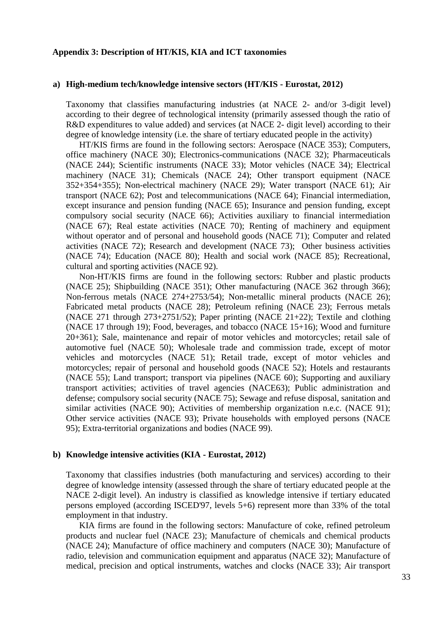# **Appendix 3: Description of HT/KIS, KIA and ICT taxonomies**

## **a) High-medium tech/knowledge intensive sectors (HT/KIS - Eurostat, 2012)**

Taxonomy that classifies manufacturing industries (at [NACE](http://epp.eurostat.ec.europa.eu/statistics_explained/index.php/Glossary:NACE) 2- and/or 3-digit level) according to their degree of technological intensity (primarily assessed though the ratio of [R&D](http://epp.eurostat.ec.europa.eu/statistics_explained/index.php/Glossary:R_%26_D) expenditures to value added) and services (at [NACE](http://epp.eurostat.ec.europa.eu/statistics_explained/index.php/Glossary:NACE) 2- digit level) according to their degree of knowledge intensity (i.e. the share of tertiary educated people in the activity)

HT/KIS firms are found in the following sectors: Aerospace (NACE 353); Computers, office machinery (NACE 30); Electronics-communications (NACE 32); Pharmaceuticals (NACE 244); Scientific instruments (NACE 33); Motor vehicles (NACE 34); Electrical machinery (NACE 31); Chemicals (NACE 24); Other transport equipment (NACE 352+354+355); Non-electrical machinery (NACE 29); Water transport (NACE 61); Air transport (NACE 62); Post and telecommunications (NACE 64); Financial intermediation, except insurance and pension funding (NACE 65); Insurance and pension funding, except compulsory social security (NACE 66); Activities auxiliary to financial intermediation (NACE 67); Real estate activities (NACE 70); Renting of machinery and equipment without operator and of personal and household goods (NACE 71); Computer and related activities (NACE 72); Research and development (NACE 73); Other business activities (NACE 74); Education (NACE 80); Health and social work (NACE 85); Recreational, cultural and sporting activities (NACE 92).

Non-HT/KIS firms are found in the following sectors: Rubber and plastic products (NACE 25); Shipbuilding (NACE 351); Other manufacturing (NACE 362 through 366); Non-ferrous metals (NACE 274+2753/54); Non-metallic mineral products (NACE 26); Fabricated metal products (NACE 28); Petroleum refining (NACE 23); Ferrous metals (NACE 271 through 273+2751/52); Paper printing (NACE 21+22); Textile and clothing (NACE 17 through 19); Food, beverages, and tobacco (NACE 15+16); Wood and furniture 20+361); Sale, maintenance and repair of motor vehicles and motorcycles; retail sale of automotive fuel (NACE 50); Wholesale trade and commission trade, except of motor vehicles and motorcycles (NACE 51); Retail trade, except of motor vehicles and motorcycles; repair of personal and household goods (NACE 52); Hotels and restaurants (NACE 55); Land transport; transport via pipelines (NACE 60); Supporting and auxiliary transport activities; activities of travel agencies (NACE63); Public administration and defense; compulsory social security (NACE 75); Sewage and refuse disposal, sanitation and similar activities (NACE 90); Activities of membership organization n.e.c. (NACE 91); Other service activities (NACE 93); Private households with employed persons (NACE 95); Extra-territorial organizations and bodies (NACE 99).

## **b) Knowledge intensive activities (KIA - Eurostat, 2012)**

Taxonomy that classifies industries (both manufacturing and services) according to their degree of knowledge intensity (assessed through the share of tertiary educated people at the NACE 2-digit level). An industry is classified as knowledge intensive if tertiary educated persons employed (according ISCED'97, levels 5+6) represent more than 33% of the total employment in that industry.

KIA firms are found in the following sectors: Manufacture of coke, refined petroleum products and nuclear fuel (NACE 23); Manufacture of chemicals and chemical products (NACE 24); Manufacture of office machinery and computers (NACE 30); Manufacture of radio, television and communication equipment and apparatus (NACE 32); Manufacture of medical, precision and optical instruments, watches and clocks (NACE 33); Air transport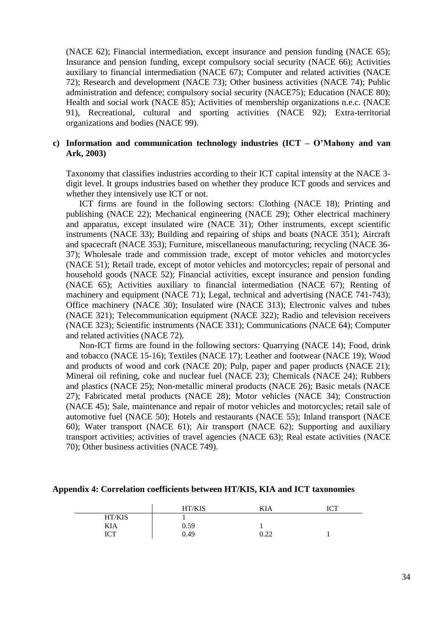(NACE 62); Financial intermediation, except insurance and pension funding (NACE 65); Insurance and pension funding, except compulsory social security (NACE 66); Activities auxiliary to financial intermediation (NACE 67); Computer and related activities (NACE 72); Research and development (NACE 73); Other business activities (NACE 74); Public administration and defence; compulsory social security (NACE75); Education (NACE 80); Health and social work (NACE 85); Activities of membership organizations n.e.c. (NACE 91), Recreational, cultural and sporting activities (NACE 92); Extra-territorial organizations and bodies (NACE 99).

# **c) Information and communication technology industries (ICT – O'Mahony and van Ark, 2003)**

Taxonomy that classifies industries according to their ICT capital intensity at the NACE 3 digit level. It groups industries based on whether they produce ICT goods and services and whether they intensively use ICT or not.

ICT firms are found in the following sectors: Clothing (NACE 18); Printing and publishing (NACE 22); Mechanical engineering (NACE 29); Other electrical machinery and apparatus, except insulated wire (NACE 31); Other instruments, except scientific instruments (NACE 33); Building and repairing of ships and boats (NACE 351); Aircraft and spacecraft (NACE 353); Furniture, miscellaneous manufacturing; recycling (NACE 36- 37); Wholesale trade and commission trade, except of motor vehicles and motorcycles (NACE 51); Retail trade, except of motor vehicles and motorcycles; repair of personal and household goods (NACE 52); Financial activities, except insurance and pension funding (NACE 65); Activities auxiliary to financial intermediation (NACE 67); Renting of machinery and equipment (NACE 71); Legal, technical and advertising (NACE 741-743); Office machinery (NACE 30); Insulated wire (NACE 313); Electronic valves and tubes (NACE 321); Telecommunication equipment (NACE 322); Radio and television receivers (NACE 323); Scientific instruments (NACE 331); Communications (NACE 64); Computer and related activities (NACE 72).

Non-ICT firms are found in the following sectors: Quarrying (NACE 14); Food, drink and tobacco (NACE 15-16); Textiles (NACE 17); Leather and footwear (NACE 19); Wood and products of wood and cork (NACE 20); Pulp, paper and paper products (NACE 21); Mineral oil refining, coke and nuclear fuel (NACE 23); Chemicals (NACE 24); Rubbers and plastics (NACE 25); Non-metallic mineral products (NACE 26); Basic metals (NACE 27); Fabricated metal products (NACE 28); Motor vehicles (NACE 34); Construction (NACE 45); Sale, maintenance and repair of motor vehicles and motorcycles; retail sale of automotive fuel (NACE 50); Hotels and restaurants (NACE 55); Inland transport (NACE 60); Water transport (NACE 61); Air transport (NACE 62); Supporting and auxiliary transport activities; activities of travel agencies (NACE 63); Real estate activities (NACE 70); Other business activities (NACE 749).

#### **Appendix 4: Correlation coefficients between HT/KIS, KIA and ICT taxonomies**

|                     | HT/KIS | <b>***</b><br>KIA                            | LOT<br>1 U 1 |
|---------------------|--------|----------------------------------------------|--------------|
| HT/KIS              |        |                                              |              |
| KIA                 | 0.59   |                                              |              |
| <b>TOT</b><br>1 U 1 | 0.49   | ר ר<br>$\mathsf{U}\cdot\mathsf{L}\mathsf{L}$ |              |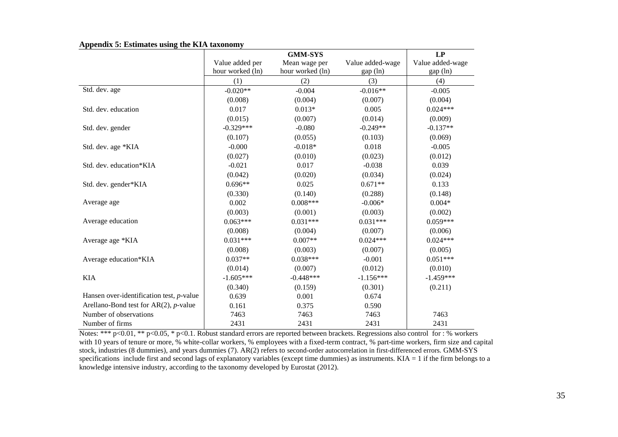|                                                  |                  | <b>GMM-SYS</b>   |                  | LP               |
|--------------------------------------------------|------------------|------------------|------------------|------------------|
|                                                  | Value added per  | Mean wage per    | Value added-wage | Value added-wage |
|                                                  | hour worked (ln) | hour worked (ln) | gap (ln)         | gap (ln)         |
|                                                  | (1)              | (2)              | (3)              | (4)              |
| Std. dev. age                                    | $-0.020**$       | $-0.004$         | $-0.016**$       | $-0.005$         |
|                                                  | (0.008)          | (0.004)          | (0.007)          | (0.004)          |
| Std. dev. education                              | 0.017            | $0.013*$         | 0.005            | $0.024***$       |
|                                                  | (0.015)          | (0.007)          | (0.014)          | (0.009)          |
| Std. dev. gender                                 | $-0.329***$      | $-0.080$         | $-0.249**$       | $-0.137**$       |
|                                                  | (0.107)          | (0.055)          | (0.103)          | (0.069)          |
| Std. dev. age *KIA                               | $-0.000$         | $-0.018*$        | 0.018            | $-0.005$         |
|                                                  | (0.027)          | (0.010)          | (0.023)          | (0.012)          |
| Std. dev. education*KIA                          | $-0.021$         | 0.017            | $-0.038$         | 0.039            |
|                                                  | (0.042)          | (0.020)          | (0.034)          | (0.024)          |
| Std. dev. gender*KIA                             | $0.696**$        | 0.025            | $0.671**$        | 0.133            |
|                                                  | (0.330)          | (0.140)          | (0.288)          | (0.148)          |
| Average age                                      | 0.002            | $0.008***$       | $-0.006*$        | $0.004*$         |
|                                                  | (0.003)          | (0.001)          | (0.003)          | (0.002)          |
| Average education                                | $0.063***$       | $0.031***$       | $0.031***$       | $0.059***$       |
|                                                  | (0.008)          | (0.004)          | (0.007)          | (0.006)          |
| Average age *KIA                                 | $0.031***$       | $0.007**$        | $0.024***$       | $0.024***$       |
|                                                  | (0.008)          | (0.003)          | (0.007)          | (0.005)          |
| Average education*KIA                            | $0.037**$        | $0.038***$       | $-0.001$         | $0.051***$       |
|                                                  | (0.014)          | (0.007)          | (0.012)          | (0.010)          |
| <b>KIA</b>                                       | $-1.605***$      | $-0.448***$      | $-1.156***$      | $-1.459***$      |
|                                                  | (0.340)          | (0.159)          | (0.301)          | (0.211)          |
| Hansen over-identification test, $p$ -value      | 0.639            | 0.001            | 0.674            |                  |
| Arellano-Bond test for $AR(2)$ , <i>p</i> -value | 0.161            | 0.375            | 0.590            |                  |
| Number of observations                           | 7463             | 7463             | 7463             | 7463             |
| Number of firms                                  | 2431             | 2431             | 2431             | 2431             |

**Appendix 5: Estimates using the KIA taxonomy**

Notes: \*\*\* p<0.01, \*\* p<0.05, \* p<0.1. Robust standard errors are reported between brackets. Regressions also control for : % workers with 10 years of tenure or more, % white-collar workers, % employees with a fixed-term contract, % part-time workers, firm size and capital stock, industries (8 dummies), and years dummies (7). AR(2) refers to second-order autocorrelation in first-differenced errors. GMM-SYS specifications include first and second lags of explanatory variables (except time dummies) as instruments. KIA = 1 if the firm belongs to a knowledge intensive industry, according to the taxonomy developed by Eurostat (2012).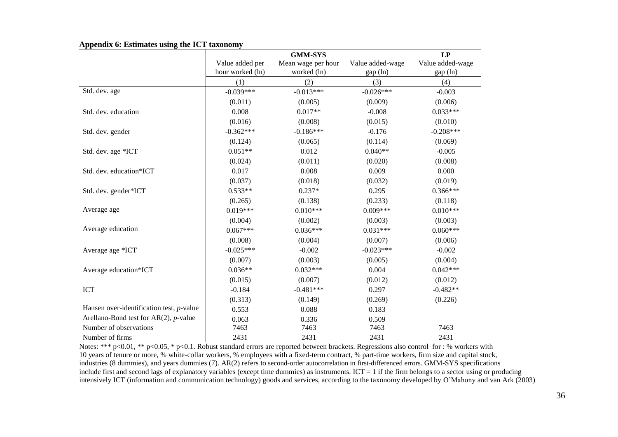|                                             |                  | <b>GMM-SYS</b>     |                  | LP               |
|---------------------------------------------|------------------|--------------------|------------------|------------------|
|                                             | Value added per  | Mean wage per hour | Value added-wage | Value added-wage |
|                                             | hour worked (ln) | worked (ln)        | gap (ln)         | gap (ln)         |
|                                             | (1)              | (2)                | (3)              | (4)              |
| Std. dev. age                               | $-0.039***$      | $-0.013***$        | $-0.026***$      | $-0.003$         |
|                                             | (0.011)          | (0.005)            | (0.009)          | (0.006)          |
| Std. dev. education                         | 0.008            | $0.017**$          | $-0.008$         | $0.033***$       |
|                                             | (0.016)          | (0.008)            | (0.015)          | (0.010)          |
| Std. dev. gender                            | $-0.362***$      | $-0.186***$        | $-0.176$         | $-0.208***$      |
|                                             | (0.124)          | (0.065)            | (0.114)          | (0.069)          |
| Std. dev. age *ICT                          | $0.051**$        | 0.012              | $0.040**$        | $-0.005$         |
|                                             | (0.024)          | (0.011)            | (0.020)          | (0.008)          |
| Std. dev. education*ICT                     | 0.017            | 0.008              | 0.009            | 0.000            |
|                                             | (0.037)          | (0.018)            | (0.032)          | (0.019)          |
| Std. dev. gender*ICT                        | $0.533**$        | $0.237*$           | 0.295            | $0.366***$       |
|                                             | (0.265)          | (0.138)            | (0.233)          | (0.118)          |
| Average age                                 | $0.019***$       | $0.010***$         | $0.009***$       | $0.010***$       |
|                                             | (0.004)          | (0.002)            | (0.003)          | (0.003)          |
| Average education                           | $0.067***$       | $0.036***$         | $0.031***$       | $0.060***$       |
|                                             | (0.008)          | (0.004)            | (0.007)          | (0.006)          |
| Average age *ICT                            | $-0.025***$      | $-0.002$           | $-0.023***$      | $-0.002$         |
|                                             | (0.007)          | (0.003)            | (0.005)          | (0.004)          |
| Average education*ICT                       | $0.036**$        | $0.032***$         | 0.004            | $0.042***$       |
|                                             | (0.015)          | (0.007)            | (0.012)          | (0.012)          |
| <b>ICT</b>                                  | $-0.184$         | $-0.481***$        | 0.297            | $-0.482**$       |
|                                             | (0.313)          | (0.149)            | (0.269)          | (0.226)          |
| Hansen over-identification test, $p$ -value | 0.553            | 0.088              | 0.183            |                  |
| Arellano-Bond test for $AR(2)$ , p-value    | 0.063            | 0.336              | 0.509            |                  |
| Number of observations                      | 7463             | 7463               | 7463             | 7463             |
| Number of firms                             | 2431             | 2431               | 2431             | 2431             |

**Appendix 6: Estimates using the ICT taxonomy**

Notes: \*\*\* p<0.01, \*\* p<0.05, \* p<0.1. Robust standard errors are reported between brackets. Regressions also control for : % workers with 10 years of tenure or more, % white-collar workers, % employees with a fixed-term contract, % part-time workers, firm size and capital stock, industries (8 dummies), and years dummies (7). AR(2) refers to second-order autocorrelation in first-differenced errors. GMM-SYS specifications include first and second lags of explanatory variables (except time dummies) as instruments. ICT = 1 if the firm belongs to a sector using or producing intensively ICT (information and communication technology) goods and services, according to the taxonomy developed by O'Mahony and van Ark (2003)